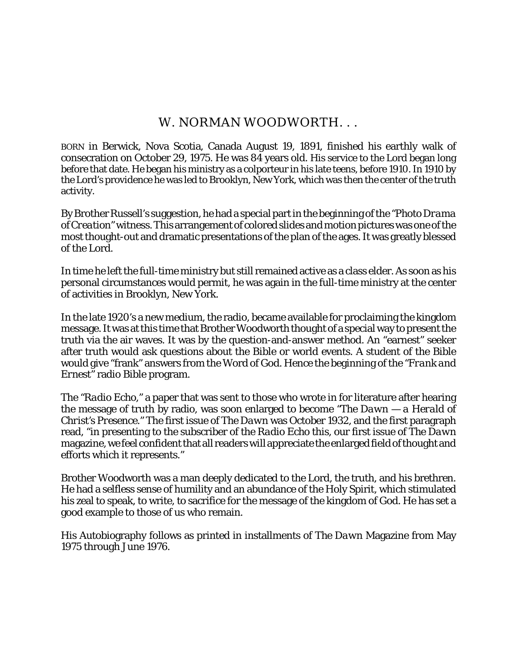# W. NORMAN WOODWORTH. . .

BORN in Berwick, Nova Scotia, Canada August 19, 1891, finished his earthly walk of consecration on October 29, 1975. He was 84 years old. His service to the Lord began long before that date. He began his ministry as a colporteur in his late teens, before 1910. In 1910 by the Lord's providence he was led to Brooklyn, New York, which was then the center of the truth activity.

By Brother Russell's suggestion, he had a special part in the beginning of the *"Photo Drama of Creation"* witness. This arrangement of colored slides and motion pictures was one of the most thought-out and dramatic presentations of the plan of the ages. It was greatly blessed of the Lord.

In time he left the full-time ministry but still remained active as a class elder. As soon as his personal circumstances would permit, he was again in the full-time ministry at the center of activities in Brooklyn, New York.

In the late 1920's a new medium, the radio, became available for proclaiming the kingdom message. It was at this time that Brother Woodworth thought of a special way to present the truth via the air waves. It was by the question-and-answer method. An "earnest" seeker after truth would ask questions about the Bible or world events. A student of the Bible would give "frank" answers from the Word of God. Hence the beginning of the *"Frank and Ernest"* radio Bible program.

The *"Radio Echo,"* a paper that was sent to those who wrote in for literature after hearing the message of truth by radio, was soon enlarged to become *"The Dawn — a Herald of Christ's Presence."* The first issue of *The Dawn* was October 1932, and the first paragraph read, "in presenting to the subscriber of the *Radio Echo* this, our first issue of *The Dawn* magazine, we feel confident that all readers will appreciate the enlarged field of thought and efforts which it represents."

Brother Woodworth was a man deeply dedicated to the Lord, the truth, and his brethren. He had a selfless sense of humility and an abundance of the Holy Spirit, which stimulated his zeal to speak, to write, to sacrifice for the message of the kingdom of God. He has set a good example to those of us who remain.

His Autobiography follows as printed in installments of *The Dawn* Magazine from May 1975 through June 1976.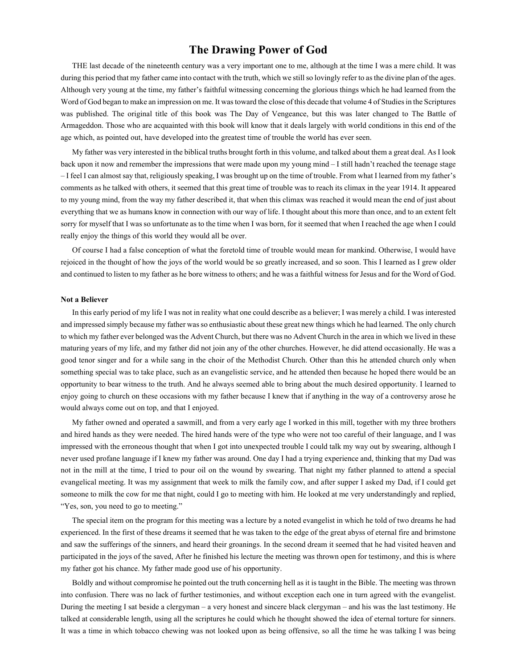# **The Drawing Power of God**

THE last decade of the nineteenth century was a very important one to me, although at the time I was a mere child. It was during this period that my father came into contact with the truth, which we still so lovingly refer to as the divine plan of the ages. Although very young at the time, my father's faithful witnessing concerning the glorious things which he had learned from the Word of God began to make an impression on me. It was toward the close of this decade that volume 4 of Studies in the Scriptures was published. The original title of this book was The Day of Vengeance, but this was later changed to The Battle of Armageddon. Those who are acquainted with this book will know that it deals largely with world conditions in this end of the age which, as pointed out, have developed into the greatest time of trouble the world has ever seen.

My father was very interested in the biblical truths brought forth in this volume, and talked about them a great deal. As I look back upon it now and remember the impressions that were made upon my young mind – I still hadn't reached the teenage stage – I feel I can almost say that, religiously speaking, I was brought up on the time of trouble. From what I learned from my father's comments as he talked with others, it seemed that this great time of trouble was to reach its climax in the year 1914. It appeared to my young mind, from the way my father described it, that when this climax was reached it would mean the end of just about everything that we as humans know in connection with our way of life. I thought about this more than once, and to an extent felt sorry for myself that I was so unfortunate as to the time when I was born, for it seemed that when I reached the age when I could really enjoy the things of this world they would all be over.

Of course I had a false conception of what the foretold time of trouble would mean for mankind. Otherwise, I would have rejoiced in the thought of how the joys of the world would be so greatly increased, and so soon. This I learned as I grew older and continued to listen to my father as he bore witness to others; and he was a faithful witness for Jesus and for the Word of God.

#### **Not a Believer**

In this early period of my life I was not in reality what one could describe as a believer; I was merely a child. I was interested and impressed simply because my father was so enthusiastic about these great new things which he had learned. The only church to which my father ever belonged was the Advent Church, but there was no Advent Church in the area in which we lived in these maturing years of my life, and my father did not join any of the other churches. However, he did attend occasionally. He was a good tenor singer and for a while sang in the choir of the Methodist Church. Other than this he attended church only when something special was to take place, such as an evangelistic service, and he attended then because he hoped there would be an opportunity to bear witness to the truth. And he always seemed able to bring about the much desired opportunity. I learned to enjoy going to church on these occasions with my father because I knew that if anything in the way of a controversy arose he would always come out on top, and that I enjoyed.

My father owned and operated a sawmill, and from a very early age I worked in this mill, together with my three brothers and hired hands as they were needed. The hired hands were of the type who were not too careful of their language, and I was impressed with the erroneous thought that when I got into unexpected trouble I could talk my way out by swearing, although I never used profane language if I knew my father was around. One day I had a trying experience and, thinking that my Dad was not in the mill at the time, I tried to pour oil on the wound by swearing. That night my father planned to attend a special evangelical meeting. It was my assignment that week to milk the family cow, and after supper I asked my Dad, if I could get someone to milk the cow for me that night, could I go to meeting with him. He looked at me very understandingly and replied, "Yes, son, you need to go to meeting."

The special item on the program for this meeting was a lecture by a noted evangelist in which he told of two dreams he had experienced. In the first of these dreams it seemed that he was taken to the edge of the great abyss of eternal fire and brimstone and saw the sufferings of the sinners, and heard their groanings. In the second dream it seemed that he had visited heaven and participated in the joys of the saved, After he finished his lecture the meeting was thrown open for testimony, and this is where my father got his chance. My father made good use of his opportunity.

Boldly and without compromise he pointed out the truth concerning hell as it is taught in the Bible. The meeting was thrown into confusion. There was no lack of further testimonies, and without exception each one in turn agreed with the evangelist. During the meeting I sat beside a clergyman – a very honest and sincere black clergyman – and his was the last testimony. He talked at considerable length, using all the scriptures he could which he thought showed the idea of eternal torture for sinners. It was a time in which tobacco chewing was not looked upon as being offensive, so all the time he was talking I was being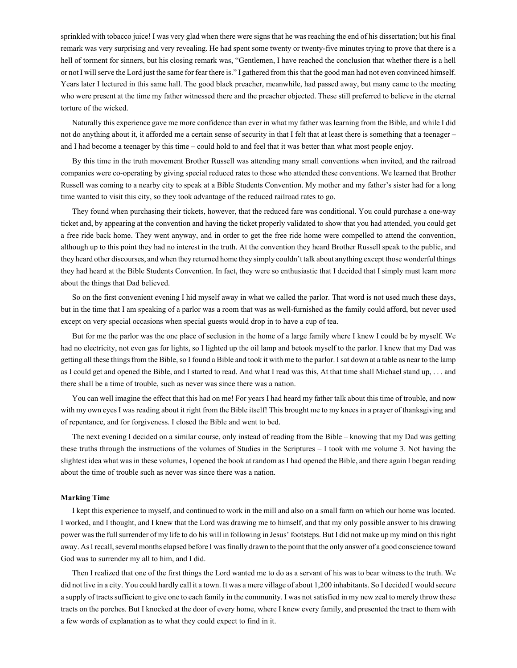sprinkled with tobacco juice! I was very glad when there were signs that he was reaching the end of his dissertation; but his final remark was very surprising and very revealing. He had spent some twenty or twenty-five minutes trying to prove that there is a hell of torment for sinners, but his closing remark was, "Gentlemen, I have reached the conclusion that whether there is a hell or not I will serve the Lord just the same for fear there is." I gathered from this that the good man had not even convinced himself. Years later I lectured in this same hall. The good black preacher, meanwhile, had passed away, but many came to the meeting who were present at the time my father witnessed there and the preacher objected. These still preferred to believe in the eternal torture of the wicked.

Naturally this experience gave me more confidence than ever in what my father was learning from the Bible, and while I did not do anything about it, it afforded me a certain sense of security in that I felt that at least there is something that a teenager – and I had become a teenager by this time – could hold to and feel that it was better than what most people enjoy.

By this time in the truth movement Brother Russell was attending many small conventions when invited, and the railroad companies were co-operating by giving special reduced rates to those who attended these conventions. We learned that Brother Russell was coming to a nearby city to speak at a Bible Students Convention. My mother and my father's sister had for a long time wanted to visit this city, so they took advantage of the reduced railroad rates to go.

They found when purchasing their tickets, however, that the reduced fare was conditional. You could purchase a one-way ticket and, by appearing at the convention and having the ticket properly validated to show that you had attended, you could get a free ride back home. They went anyway, and in order to get the free ride home were compelled to attend the convention, although up to this point they had no interest in the truth. At the convention they heard Brother Russell speak to the public, and they heard other discourses, and when they returned home they simply couldn't talk about anything except those wonderful things they had heard at the Bible Students Convention. In fact, they were so enthusiastic that I decided that I simply must learn more about the things that Dad believed.

So on the first convenient evening I hid myself away in what we called the parlor. That word is not used much these days, but in the time that I am speaking of a parlor was a room that was as well-furnished as the family could afford, but never used except on very special occasions when special guests would drop in to have a cup of tea.

But for me the parlor was the one place of seclusion in the home of a large family where I knew I could be by myself. We had no electricity, not even gas for lights, so I lighted up the oil lamp and betook myself to the parlor. I knew that my Dad was getting all these things from the Bible, so I found a Bible and took it with me to the parlor. I sat down at a table as near to the lamp as I could get and opened the Bible, and I started to read. And what I read was this, At that time shall Michael stand up, . . . and there shall be a time of trouble, such as never was since there was a nation.

You can well imagine the effect that this had on me! For years I had heard my father talk about this time of trouble, and now with my own eyes I was reading about it right from the Bible itself! This brought me to my knees in a prayer of thanksgiving and of repentance, and for forgiveness. I closed the Bible and went to bed.

The next evening I decided on a similar course, only instead of reading from the Bible – knowing that my Dad was getting these truths through the instructions of the volumes of Studies in the Scriptures – I took with me volume 3. Not having the slightest idea what was in these volumes, I opened the book at random as I had opened the Bible, and there again I began reading about the time of trouble such as never was since there was a nation.

### **Marking Time**

I kept this experience to myself, and continued to work in the mill and also on a small farm on which our home was located. I worked, and I thought, and I knew that the Lord was drawing me to himself, and that my only possible answer to his drawing power was the full surrender of my life to do his will in following in Jesus' footsteps. But I did not make up my mind on this right away. As I recall, several months elapsed before I was finally drawn to the point that the only answer of a good conscience toward God was to surrender my all to him, and I did.

Then I realized that one of the first things the Lord wanted me to do as a servant of his was to bear witness to the truth. We did not live in a city. You could hardly call it a town. It was a mere village of about 1,200 inhabitants. So I decided I would secure a supply of tracts sufficient to give one to each family in the community. I was not satisfied in my new zeal to merely throw these tracts on the porches. But I knocked at the door of every home, where I knew every family, and presented the tract to them with a few words of explanation as to what they could expect to find in it.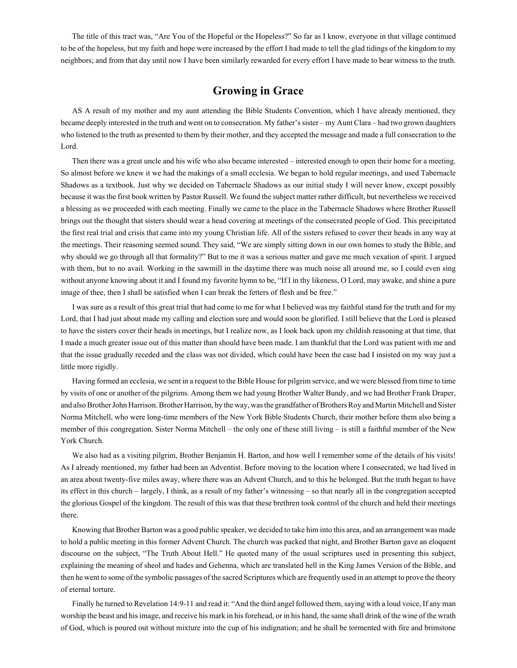The title of this tract was, "Are You of the Hopeful or the Hopeless?" So far as I know, everyone in that village continued to be of the hopeless, but my faith and hope were increased by the effort I had made to tell the glad tidings of the kingdom to my neighbors; and from that day until now I have been similarly rewarded for every effort I have made to bear witness to the truth.

# **Growing in Grace**

AS A result of my mother and my aunt attending the Bible Students Convention, which I have already mentioned, they became deeply interested in the truth and went on to consecration. My father's sister – my Aunt Clara – had two grown daughters who listened to the truth as presented to them by their mother, and they accepted the message and made a full consecration to the Lord.

Then there was a great uncle and his wife who also became interested – interested enough to open their home for a meeting. So almost before we knew it we had the makings of a small ecclesia. We began to hold regular meetings, and used Tabernacle Shadows as a textbook. Just why we decided on Tabernacle Shadows as our initial study I will never know, except possibly because it was the first book written by Pastor Russell. We found the subject matter rather difficult, but nevertheless we received a blessing as we proceeded with each meeting. Finally we came to the place in the Tabernacle Shadows where Brother Russell brings out the thought that sisters should wear a head covering at meetings of the consecrated people of God. This precipitated the first real trial and crisis that came into my young Christian life. All of the sisters refused to cover their heads in any way at the meetings. Their reasoning seemed sound. They said, "We are simply sitting down in our own homes to study the Bible, and why should we go through all that formality?" But to me it was a serious matter and gave me much vexation of spirit. I argued with them, but to no avail. Working in the sawmill in the daytime there was much noise all around me, so I could even sing without anyone knowing about it and I found my favorite hymn to be, "If I in thy likeness, O Lord, may awake, and shine a pure image of thee, then I shall be satisfied when I can break the fetters of flesh and be free."

I was sure as a result of this great trial that had come to me for what I believed was my faithful stand for the truth and for my Lord, that I had just about made my calling and election sure and would soon be glorified. I still believe that the Lord is pleased to have the sisters cover their heads in meetings, but I realize now, as I look back upon my childish reasoning at that time, that I made a much greater issue out of this matter than should have been made. I am thankful that the Lord was patient with me and that the issue gradually receded and the class was not divided, which could have been the case had I insisted on my way just a little more rigidly.

Having formed an ecclesia, we sent in a request to the Bible House for pilgrim service, and we were blessed from time to time by visits of one or another of the pilgrims. Among them we had young Brother Walter Bundy, and we had Brother Frank Draper, and also Brother John Harrison. Brother Harrison, by the way, was the grandfather of Brothers Roy and Martin Mitchell and Sister Norma Mitchell, who were long-time members of the New York Bible Students Church, their mother before them also being a member of this congregation. Sister Norma Mitchell – the only one of these still living – is still a faithful member of the New York Church.

We also had as a visiting pilgrim, Brother Benjamin H. Barton, and how well I remember some of the details of his visits! As I already mentioned, my father had been an Adventist. Before moving to the location where I consecrated, we had lived in an area about twenty-five miles away, where there was an Advent Church, and to this he belonged. But the truth began to have its effect in this church – largely, I think, as a result of my father's witnessing – so that nearly all in the congregation accepted the glorious Gospel of the kingdom. The result of this was that these brethren took control of the church and held their meetings there.

Knowing that Brother Barton was a good public speaker, we decided to take him into this area, and an arrangement was made to hold a public meeting in this former Advent Church. The church was packed that night, and Brother Barton gave an eloquent discourse on the subject, "The Truth About Hell." He quoted many of the usual scriptures used in presenting this subject, explaining the meaning of sheol and hades and Gehenna, which are translated hell in the King James Version of the Bible, and then he went to some of the symbolic passages of the sacred Scriptures which are frequently used in an attempt to prove the theory of eternal torture.

Finally he turned to Revelation 14:9-11 and read it: "And the third angel followed them, saying with a loud voice, If any man worship the beast and his image, and receive his mark in his forehead, or in his hand, the same shall drink of the wine of the wrath of God, which is poured out without mixture into the cup of his indignation; and he shall be tormented with fire and brimstone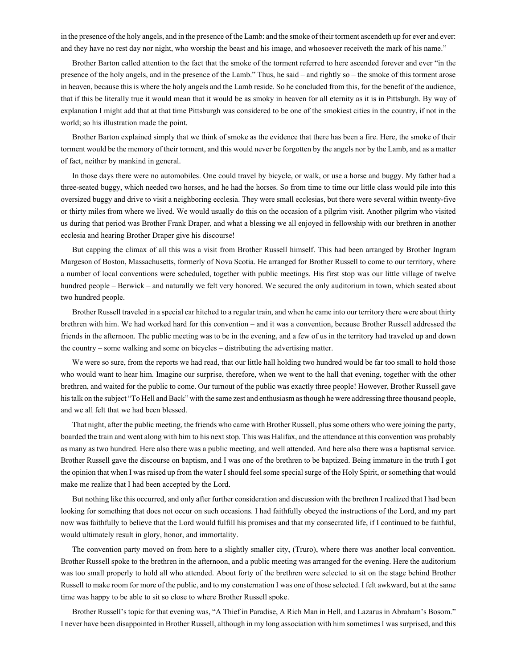in the presence of the holy angels, and in the presence of the Lamb: and the smoke of their torment ascendeth up for ever and ever: and they have no rest day nor night, who worship the beast and his image, and whosoever receiveth the mark of his name."

Brother Barton called attention to the fact that the smoke of the torment referred to here ascended forever and ever "in the presence of the holy angels, and in the presence of the Lamb." Thus, he said – and rightly so – the smoke of this torment arose in heaven, because this is where the holy angels and the Lamb reside. So he concluded from this, for the benefit of the audience, that if this be literally true it would mean that it would be as smoky in heaven for all eternity as it is in Pittsburgh. By way of explanation I might add that at that time Pittsburgh was considered to be one of the smokiest cities in the country, if not in the world; so his illustration made the point.

Brother Barton explained simply that we think of smoke as the evidence that there has been a fire. Here, the smoke of their torment would be the memory of their torment, and this would never be forgotten by the angels nor by the Lamb, and as a matter of fact, neither by mankind in general.

In those days there were no automobiles. One could travel by bicycle, or walk, or use a horse and buggy. My father had a three-seated buggy, which needed two horses, and he had the horses. So from time to time our little class would pile into this oversized buggy and drive to visit a neighboring ecclesia. They were small ecclesias, but there were several within twenty-five or thirty miles from where we lived. We would usually do this on the occasion of a pilgrim visit. Another pilgrim who visited us during that period was Brother Frank Draper, and what a blessing we all enjoyed in fellowship with our brethren in another ecclesia and hearing Brother Draper give his discourse!

But capping the climax of all this was a visit from Brother Russell himself. This had been arranged by Brother Ingram Margeson of Boston, Massachusetts, formerly of Nova Scotia. He arranged for Brother Russell to come to our territory, where a number of local conventions were scheduled, together with public meetings. His first stop was our little village of twelve hundred people – Berwick – and naturally we felt very honored. We secured the only auditorium in town, which seated about two hundred people.

Brother Russell traveled in a special car hitched to a regular train, and when he came into our territory there were about thirty brethren with him. We had worked hard for this convention – and it was a convention, because Brother Russell addressed the friends in the afternoon. The public meeting was to be in the evening, and a few of us in the territory had traveled up and down the country – some walking and some on bicycles – distributing the advertising matter.

We were so sure, from the reports we had read, that our little hall holding two hundred would be far too small to hold those who would want to hear him. Imagine our surprise, therefore, when we went to the hall that evening, together with the other brethren, and waited for the public to come. Our turnout of the public was exactly three people! However, Brother Russell gave his talk on the subject "To Hell and Back" with the same zest and enthusiasm as though he were addressing three thousand people, and we all felt that we had been blessed.

That night, after the public meeting, the friends who came with Brother Russell, plus some others who were joining the party, boarded the train and went along with him to his next stop. This was Halifax, and the attendance at this convention was probably as many as two hundred. Here also there was a public meeting, and well attended. And here also there was a baptismal service. Brother Russell gave the discourse on baptism, and I was one of the brethren to be baptized. Being immature in the truth I got the opinion that when I was raised up from the water I should feel some special surge of the Holy Spirit, or something that would make me realize that I had been accepted by the Lord.

But nothing like this occurred, and only after further consideration and discussion with the brethren I realized that I had been looking for something that does not occur on such occasions. I had faithfully obeyed the instructions of the Lord, and my part now was faithfully to believe that the Lord would fulfill his promises and that my consecrated life, if I continued to be faithful, would ultimately result in glory, honor, and immortality.

The convention party moved on from here to a slightly smaller city, (Truro), where there was another local convention. Brother Russell spoke to the brethren in the afternoon, and a public meeting was arranged for the evening. Here the auditorium was too small properly to hold all who attended. About forty of the brethren were selected to sit on the stage behind Brother Russell to make room for more of the public, and to my consternation I was one of those selected. I felt awkward, but at the same time was happy to be able to sit so close to where Brother Russell spoke.

Brother Russell's topic for that evening was, "A Thief in Paradise, A Rich Man in Hell, and Lazarus in Abraham's Bosom." I never have been disappointed in Brother Russell, although in my long association with him sometimes I was surprised, and this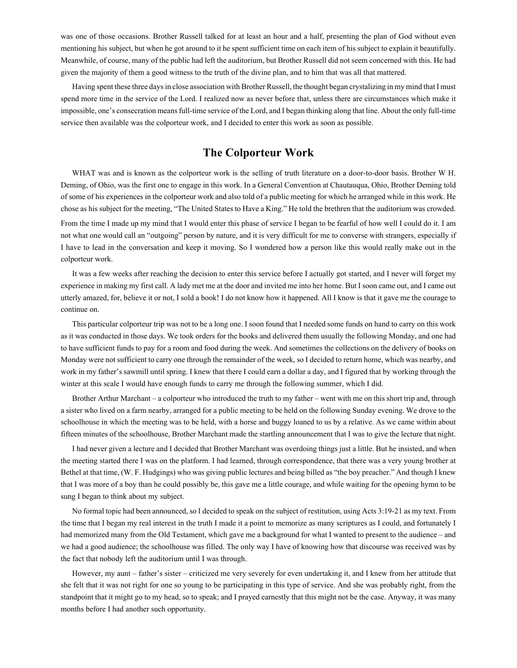was one of those occasions. Brother Russell talked for at least an hour and a half, presenting the plan of God without even mentioning his subject, but when he got around to it he spent sufficient time on each item of his subject to explain it beautifully. Meanwhile, of course, many of the public had left the auditorium, but Brother Russell did not seem concerned with this. He had given the majority of them a good witness to the truth of the divine plan, and to him that was all that mattered.

Having spent these three days in close association with Brother Russell, the thought began crystalizing in my mind that I must spend more time in the service of the Lord. I realized now as never before that, unless there are circumstances which make it impossible, one's consecration means full-time service of the Lord, and I began thinking along that line. About the only full-time service then available was the colporteur work, and I decided to enter this work as soon as possible.

# **The Colporteur Work**

WHAT was and is known as the colporteur work is the selling of truth literature on a door-to-door basis. Brother W H. Deming, of Ohio, was the first one to engage in this work. In a General Convention at Chautauqua, Ohio, Brother Deming told of some of his experiences in the colporteur work and also told of a public meeting for which he arranged while in this work. He chose as his subject for the meeting, "The United States to Have a King." He told the brethren that the auditorium was crowded. From the time I made up my mind that I would enter this phase of service I began to be fearful of how well I could do it. I am not what one would call an "outgoing" person by nature, and it is very difficult for me to converse with strangers, especially if I have to lead in the conversation and keep it moving. So I wondered how a person like this would really make out in the colporteur work.

It was a few weeks after reaching the decision to enter this service before I actually got started, and I never will forget my experience in making my first call. A lady met me at the door and invited me into her home. But I soon came out, and I came out utterly amazed, for, believe it or not, I sold a book! I do not know how it happened. All I know is that it gave me the courage to continue on.

This particular colporteur trip was not to be a long one. I soon found that I needed some funds on hand to carry on this work as it was conducted in those days. We took orders for the books and delivered them usually the following Monday, and one had to have sufficient funds to pay for a room and food during the week. And sometimes the collections on the delivery of books on Monday were not sufficient to carry one through the remainder of the week, so I decided to return home, which was nearby, and work in my father's sawmill until spring. I knew that there I could earn a dollar a day, and I figured that by working through the winter at this scale I would have enough funds to carry me through the following summer, which I did.

Brother Arthur Marchant – a colporteur who introduced the truth to my father – went with me on this short trip and, through a sister who lived on a farm nearby, arranged for a public meeting to be held on the following Sunday evening. We drove to the schoolhouse in which the meeting was to be held, with a horse and buggy loaned to us by a relative. As we came within about fifteen minutes of the schoolhouse, Brother Marchant made the startling announcement that I was to give the lecture that night.

I had never given a lecture and I decided that Brother Marchant was overdoing things just a little. But he insisted, and when the meeting started there I was on the platform. I had learned, through correspondence, that there was a very young brother at Bethel at that time, (W. F. Hudgings) who was giving public lectures and being billed as "the boy preacher." And though I knew that I was more of a boy than he could possibly be, this gave me a little courage, and while waiting for the opening hymn to be sung I began to think about my subject.

No formal topic had been announced, so I decided to speak on the subject of restitution, using Acts 3:19-21 as my text. From the time that I began my real interest in the truth I made it a point to memorize as many scriptures as I could, and fortunately I had memorized many from the Old Testament, which gave me a background for what I wanted to present to the audience – and we had a good audience; the schoolhouse was filled. The only way I have of knowing how that discourse was received was by the fact that nobody left the auditorium until I was through.

However, my aunt – father's sister – criticized me very severely for even undertaking it, and I knew from her attitude that she felt that it was not right for one so young to be participating in this type of service. And she was probably right, from the standpoint that it might go to my head, so to speak; and I prayed earnestly that this might not be the case. Anyway, it was many months before I had another such opportunity.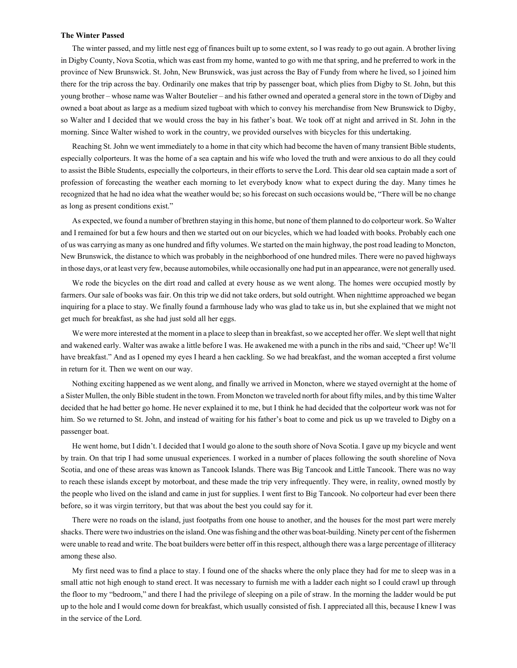#### **The Winter Passed**

The winter passed, and my little nest egg of finances built up to some extent, so I was ready to go out again. A brother living in Digby County, Nova Scotia, which was east from my home, wanted to go with me that spring, and he preferred to work in the province of New Brunswick. St. John, New Brunswick, was just across the Bay of Fundy from where he lived, so I joined him there for the trip across the bay. Ordinarily one makes that trip by passenger boat, which plies from Digby to St. John, but this young brother – whose name was Walter Boutelier – and his father owned and operated a general store in the town of Digby and owned a boat about as large as a medium sized tugboat with which to convey his merchandise from New Brunswick to Digby, so Walter and I decided that we would cross the bay in his father's boat. We took off at night and arrived in St. John in the morning. Since Walter wished to work in the country, we provided ourselves with bicycles for this undertaking.

Reaching St. John we went immediately to a home in that city which had become the haven of many transient Bible students, especially colporteurs. It was the home of a sea captain and his wife who loved the truth and were anxious to do all they could to assist the Bible Students, especially the colporteurs, in their efforts to serve the Lord. This dear old sea captain made a sort of profession of forecasting the weather each morning to let everybody know what to expect during the day. Many times he recognized that he had no idea what the weather would be; so his forecast on such occasions would be, "There will be no change as long as present conditions exist."

As expected, we found a number of brethren staying in this home, but none of them planned to do colporteur work. So Walter and I remained for but a few hours and then we started out on our bicycles, which we had loaded with books. Probably each one of us was carrying as many as one hundred and fifty volumes. We started on the main highway, the post road leading to Moncton, New Brunswick, the distance to which was probably in the neighborhood of one hundred miles. There were no paved highways in those days, or at least very few, because automobiles, while occasionally one had put in an appearance, were not generally used.

We rode the bicycles on the dirt road and called at every house as we went along. The homes were occupied mostly by farmers. Our sale of books was fair. On this trip we did not take orders, but sold outright. When nighttime approached we began inquiring for a place to stay. We finally found a farmhouse lady who was glad to take us in, but she explained that we might not get much for breakfast, as she had just sold all her eggs.

We were more interested at the moment in a place to sleep than in breakfast, so we accepted her offer. We slept well that night and wakened early. Walter was awake a little before I was. He awakened me with a punch in the ribs and said, "Cheer up! We'll have breakfast." And as I opened my eyes I heard a hen cackling. So we had breakfast, and the woman accepted a first volume in return for it. Then we went on our way.

Nothing exciting happened as we went along, and finally we arrived in Moncton, where we stayed overnight at the home of a Sister Mullen, the only Bible student in the town. From Moncton we traveled north for about fifty miles, and by this time Walter decided that he had better go home. He never explained it to me, but I think he had decided that the colporteur work was not for him. So we returned to St. John, and instead of waiting for his father's boat to come and pick us up we traveled to Digby on a passenger boat.

He went home, but I didn't. I decided that I would go alone to the south shore of Nova Scotia. I gave up my bicycle and went by train. On that trip I had some unusual experiences. I worked in a number of places following the south shoreline of Nova Scotia, and one of these areas was known as Tancook Islands. There was Big Tancook and Little Tancook. There was no way to reach these islands except by motorboat, and these made the trip very infrequently. They were, in reality, owned mostly by the people who lived on the island and came in just for supplies. I went first to Big Tancook. No colporteur had ever been there before, so it was virgin territory, but that was about the best you could say for it.

There were no roads on the island, just footpaths from one house to another, and the houses for the most part were merely shacks. There were two industries on the island. One was fishing and the other was boat-building. Ninety per cent of the fishermen were unable to read and write. The boat builders were better off in this respect, although there was a large percentage of illiteracy among these also.

My first need was to find a place to stay. I found one of the shacks where the only place they had for me to sleep was in a small attic not high enough to stand erect. It was necessary to furnish me with a ladder each night so I could crawl up through the floor to my "bedroom," and there I had the privilege of sleeping on a pile of straw. In the morning the ladder would be put up to the hole and I would come down for breakfast, which usually consisted of fish. I appreciated all this, because I knew I was in the service of the Lord.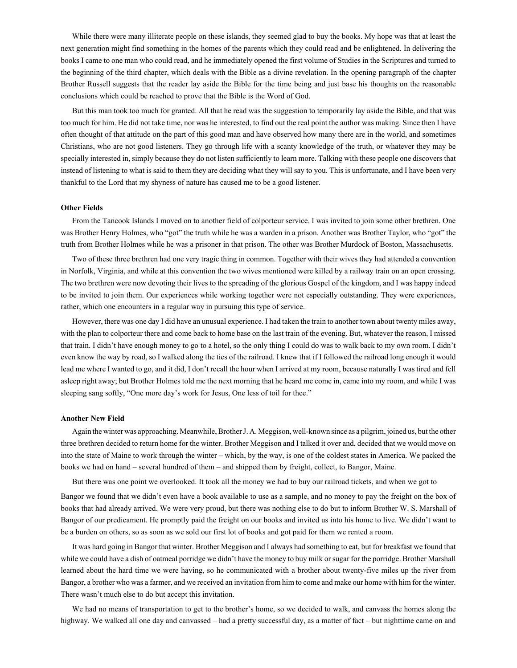While there were many illiterate people on these islands, they seemed glad to buy the books. My hope was that at least the next generation might find something in the homes of the parents which they could read and be enlightened. In delivering the books I came to one man who could read, and he immediately opened the first volume of Studies in the Scriptures and turned to the beginning of the third chapter, which deals with the Bible as a divine revelation. In the opening paragraph of the chapter Brother Russell suggests that the reader lay aside the Bible for the time being and just base his thoughts on the reasonable conclusions which could be reached to prove that the Bible is the Word of God.

But this man took too much for granted. All that he read was the suggestion to temporarily lay aside the Bible, and that was too much for him. He did not take time, nor was he interested, to find out the real point the author was making. Since then I have often thought of that attitude on the part of this good man and have observed how many there are in the world, and sometimes Christians, who are not good listeners. They go through life with a scanty knowledge of the truth, or whatever they may be specially interested in, simply because they do not listen sufficiently to learn more. Talking with these people one discovers that instead of listening to what is said to them they are deciding what they will say to you. This is unfortunate, and I have been very thankful to the Lord that my shyness of nature has caused me to be a good listener.

## **Other Fields**

From the Tancook Islands I moved on to another field of colporteur service. I was invited to join some other brethren. One was Brother Henry Holmes, who "got" the truth while he was a warden in a prison. Another was Brother Taylor, who "got" the truth from Brother Holmes while he was a prisoner in that prison. The other was Brother Murdock of Boston, Massachusetts.

Two of these three brethren had one very tragic thing in common. Together with their wives they had attended a convention in Norfolk, Virginia, and while at this convention the two wives mentioned were killed by a railway train on an open crossing. The two brethren were now devoting their lives to the spreading of the glorious Gospel of the kingdom, and I was happy indeed to be invited to join them. Our experiences while working together were not especially outstanding. They were experiences, rather, which one encounters in a regular way in pursuing this type of service.

However, there was one day I did have an unusual experience. I had taken the train to another town about twenty miles away, with the plan to colporteur there and come back to home base on the last train of the evening. But, whatever the reason, I missed that train. I didn't have enough money to go to a hotel, so the only thing I could do was to walk back to my own room. I didn't even know the way by road, so I walked along the ties of the railroad. I knew that if I followed the railroad long enough it would lead me where I wanted to go, and it did, I don't recall the hour when I arrived at my room, because naturally I was tired and fell asleep right away; but Brother Holmes told me the next morning that he heard me come in, came into my room, and while I was sleeping sang softly, "One more day's work for Jesus, One less of toil for thee."

#### **Another New Field**

Again the winter was approaching. Meanwhile, Brother J. A. Meggison, well-known since as a pilgrim, joined us, but the other three brethren decided to return home for the winter. Brother Meggison and I talked it over and, decided that we would move on into the state of Maine to work through the winter – which, by the way, is one of the coldest states in America. We packed the books we had on hand – several hundred of them – and shipped them by freight, collect, to Bangor, Maine.

But there was one point we overlooked. It took all the money we had to buy our railroad tickets, and when we got to

Bangor we found that we didn't even have a book available to use as a sample, and no money to pay the freight on the box of books that had already arrived. We were very proud, but there was nothing else to do but to inform Brother W. S. Marshall of Bangor of our predicament. He promptly paid the freight on our books and invited us into his home to live. We didn't want to be a burden on others, so as soon as we sold our first lot of books and got paid for them we rented a room.

It was hard going in Bangor that winter. Brother Meggison and I always had something to eat, but for breakfast we found that while we could have a dish of oatmeal porridge we didn't have the money to buy milk or sugar for the porridge. Brother Marshall learned about the hard time we were having, so he communicated with a brother about twenty-five miles up the river from Bangor, a brother who was a farmer, and we received an invitation from him to come and make our home with him for the winter. There wasn't much else to do but accept this invitation.

We had no means of transportation to get to the brother's home, so we decided to walk, and canvass the homes along the highway. We walked all one day and canvassed – had a pretty successful day, as a matter of fact – but nighttime came on and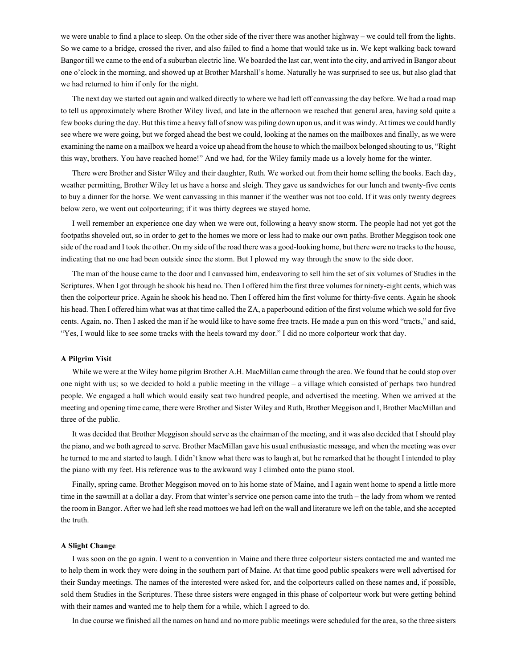we were unable to find a place to sleep. On the other side of the river there was another highway – we could tell from the lights. So we came to a bridge, crossed the river, and also failed to find a home that would take us in. We kept walking back toward Bangor till we came to the end of a suburban electric line. We boarded the last car, went into the city, and arrived in Bangor about one o'clock in the morning, and showed up at Brother Marshall's home. Naturally he was surprised to see us, but also glad that we had returned to him if only for the night.

The next day we started out again and walked directly to where we had left off canvassing the day before. We had a road map to tell us approximately where Brother Wiley lived, and late in the afternoon we reached that general area, having sold quite a few books during the day. But this time a heavy fall of snow was piling down upon us, and it was windy. At times we could hardly see where we were going, but we forged ahead the best we could, looking at the names on the mailboxes and finally, as we were examining the name on a mailbox we heard a voice up ahead from the house to which the mailbox belonged shouting to us, "Right this way, brothers. You have reached home!" And we had, for the Wiley family made us a lovely home for the winter.

There were Brother and Sister Wiley and their daughter, Ruth. We worked out from their home selling the books. Each day, weather permitting, Brother Wiley let us have a horse and sleigh. They gave us sandwiches for our lunch and twenty-five cents to buy a dinner for the horse. We went canvassing in this manner if the weather was not too cold. If it was only twenty degrees below zero, we went out colporteuring; if it was thirty degrees we stayed home.

I well remember an experience one day when we were out, following a heavy snow storm. The people had not yet got the footpaths shoveled out, so in order to get to the homes we more or less had to make our own paths. Brother Meggison took one side of the road and I took the other. On my side of the road there was a good-looking home, but there were no tracks to the house, indicating that no one had been outside since the storm. But I plowed my way through the snow to the side door.

The man of the house came to the door and I canvassed him, endeavoring to sell him the set of six volumes of Studies in the Scriptures. When I got through he shook his head no. Then I offered him the first three volumes for ninety-eight cents, which was then the colporteur price. Again he shook his head no. Then I offered him the first volume for thirty-five cents. Again he shook his head. Then I offered him what was at that time called the ZA, a paperbound edition of the first volume which we sold for five cents. Again, no. Then I asked the man if he would like to have some free tracts. He made a pun on this word "tracts," and said, "Yes, I would like to see some tracks with the heels toward my door." I did no more colporteur work that day.

#### **A Pilgrim Visit**

While we were at the Wiley home pilgrim Brother A.H. MacMillan came through the area. We found that he could stop over one night with us; so we decided to hold a public meeting in the village – a village which consisted of perhaps two hundred people. We engaged a hall which would easily seat two hundred people, and advertised the meeting. When we arrived at the meeting and opening time came, there were Brother and Sister Wiley and Ruth, Brother Meggison and I, Brother MacMillan and three of the public.

It was decided that Brother Meggison should serve as the chairman of the meeting, and it was also decided that I should play the piano, and we both agreed to serve. Brother MacMillan gave his usual enthusiastic message, and when the meeting was over he turned to me and started to laugh. I didn't know what there was to laugh at, but he remarked that he thought I intended to play the piano with my feet. His reference was to the awkward way I climbed onto the piano stool.

Finally, spring came. Brother Meggison moved on to his home state of Maine, and I again went home to spend a little more time in the sawmill at a dollar a day. From that winter's service one person came into the truth – the lady from whom we rented the room in Bangor. After we had left she read mottoes we had left on the wall and literature we left on the table, and she accepted the truth.

### **A Slight Change**

I was soon on the go again. I went to a convention in Maine and there three colporteur sisters contacted me and wanted me to help them in work they were doing in the southern part of Maine. At that time good public speakers were well advertised for their Sunday meetings. The names of the interested were asked for, and the colporteurs called on these names and, if possible, sold them Studies in the Scriptures. These three sisters were engaged in this phase of colporteur work but were getting behind with their names and wanted me to help them for a while, which I agreed to do.

In due course we finished all the names on hand and no more public meetings were scheduled for the area, so the three sisters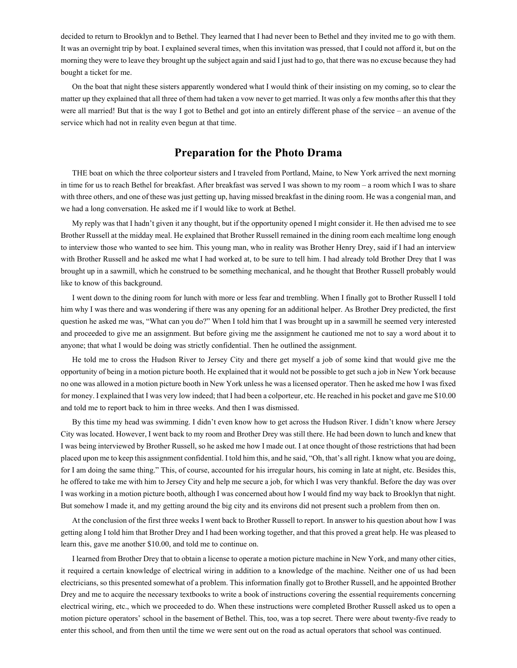decided to return to Brooklyn and to Bethel. They learned that I had never been to Bethel and they invited me to go with them. It was an overnight trip by boat. I explained several times, when this invitation was pressed, that I could not afford it, but on the morning they were to leave they brought up the subject again and said I just had to go, that there was no excuse because they had bought a ticket for me.

On the boat that night these sisters apparently wondered what I would think of their insisting on my coming, so to clear the matter up they explained that all three of them had taken a vow never to get married. It was only a few months after this that they were all married! But that is the way I got to Bethel and got into an entirely different phase of the service – an avenue of the service which had not in reality even begun at that time.

# **Preparation for the Photo Drama**

THE boat on which the three colporteur sisters and I traveled from Portland, Maine, to New York arrived the next morning in time for us to reach Bethel for breakfast. After breakfast was served I was shown to my room – a room which I was to share with three others, and one of these was just getting up, having missed breakfast in the dining room. He was a congenial man, and we had a long conversation. He asked me if I would like to work at Bethel.

My reply was that I hadn't given it any thought, but if the opportunity opened I might consider it. He then advised me to see Brother Russell at the midday meal. He explained that Brother Russell remained in the dining room each mealtime long enough to interview those who wanted to see him. This young man, who in reality was Brother Henry Drey, said if I had an interview with Brother Russell and he asked me what I had worked at, to be sure to tell him. I had already told Brother Drey that I was brought up in a sawmill, which he construed to be something mechanical, and he thought that Brother Russell probably would like to know of this background.

I went down to the dining room for lunch with more or less fear and trembling. When I finally got to Brother Russell I told him why I was there and was wondering if there was any opening for an additional helper. As Brother Drey predicted, the first question he asked me was, "What can you do?" When I told him that I was brought up in a sawmill he seemed very interested and proceeded to give me an assignment. But before giving me the assignment he cautioned me not to say a word about it to anyone; that what I would be doing was strictly confidential. Then he outlined the assignment.

He told me to cross the Hudson River to Jersey City and there get myself a job of some kind that would give me the opportunity of being in a motion picture booth. He explained that it would not be possible to get such a job in New York because no one was allowed in a motion picture booth in New York unless he was a licensed operator. Then he asked me how I was fixed for money. I explained that I was very low indeed; that I had been a colporteur, etc. He reached in his pocket and gave me \$10.00 and told me to report back to him in three weeks. And then I was dismissed.

By this time my head was swimming. I didn't even know how to get across the Hudson River. I didn't know where Jersey City was located. However, I went back to my room and Brother Drey was still there. He had been down to lunch and knew that I was being interviewed by Brother Russell, so he asked me how I made out. I at once thought of those restrictions that had been placed upon me to keep this assignment confidential. I told him this, and he said, "Oh, that's all right. I know what you are doing, for I am doing the same thing." This, of course, accounted for his irregular hours, his coming in late at night, etc. Besides this, he offered to take me with him to Jersey City and help me secure a job, for which I was very thankful. Before the day was over I was working in a motion picture booth, although I was concerned about how I would find my way back to Brooklyn that night. But somehow I made it, and my getting around the big city and its environs did not present such a problem from then on.

At the conclusion of the first three weeks I went back to Brother Russell to report. In answer to his question about how I was getting along I told him that Brother Drey and I had been working together, and that this proved a great help. He was pleased to learn this, gave me another \$10.00, and told me to continue on.

I learned from Brother Drey that to obtain a license to operate a motion picture machine in New York, and many other cities, it required a certain knowledge of electrical wiring in addition to a knowledge of the machine. Neither one of us had been electricians, so this presented somewhat of a problem. This information finally got to Brother Russell, and he appointed Brother Drey and me to acquire the necessary textbooks to write a book of instructions covering the essential requirements concerning electrical wiring, etc., which we proceeded to do. When these instructions were completed Brother Russell asked us to open a motion picture operators' school in the basement of Bethel. This, too, was a top secret. There were about twenty-five ready to enter this school, and from then until the time we were sent out on the road as actual operators that school was continued.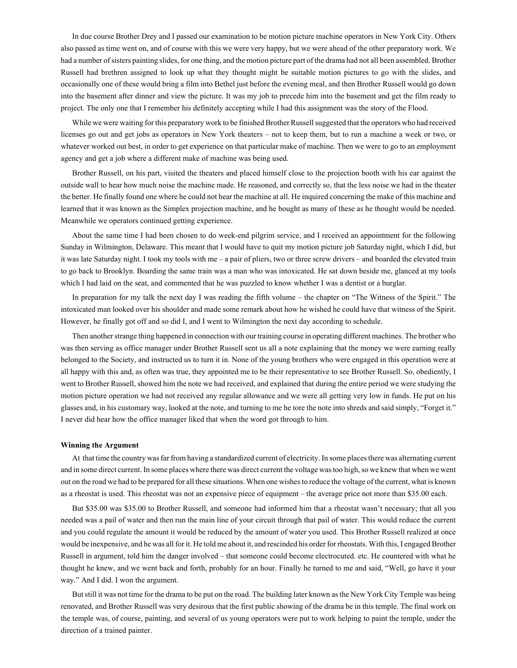In due course Brother Drey and I passed our examination to be motion picture machine operators in New York City. Others also passed as time went on, and of course with this we were very happy, but we were ahead of the other preparatory work. We had a number of sisters painting slides, for one thing, and the motion picture part of the drama had not all been assembled. Brother Russell had brethren assigned to look up what they thought might be suitable motion pictures to go with the slides, and occasionally one of these would bring a film into Bethel just before the evening meal, and then Brother Russell would go down into the basement after dinner and view the picture. It was my job to precede him into the basement and get the film ready to project. The only one that I remember his definitely accepting while I had this assignment was the story of the Flood.

While we were waiting for this preparatory work to be finished Brother Russell suggested that the operators who had received licenses go out and get jobs as operators in New York theaters – not to keep them, but to run a machine a week or two, or whatever worked out best, in order to get experience on that particular make of machine. Then we were to go to an employment agency and get a job where a different make of machine was being used.

Brother Russell, on his part, visited the theaters and placed himself close to the projection booth with his ear against the outside wall to hear how much noise the machine made. He reasoned, and correctly so, that the less noise we had in the theater the better. He finally found one where he could not hear the machine at all. He inquired concerning the make of this machine and learned that it was known as the Simplex projection machine, and he bought as many of these as he thought would be needed. Meanwhile we operators continued getting experience.

About the same time I had been chosen to do week-end pilgrim service, and I received an appointment for the following Sunday in Wilmington, Delaware. This meant that I would have to quit my motion picture job Saturday night, which I did, but it was late Saturday night. I took my tools with me – a pair of pliers, two or three screw drivers – and boarded the elevated train to go back to Brooklyn. Boarding the same train was a man who was intoxicated. He sat down beside me, glanced at my tools which I had laid on the seat, and commented that he was puzzled to know whether I was a dentist or a burglar.

In preparation for my talk the next day I was reading the fifth volume – the chapter on "The Witness of the Spirit." The intoxicated man looked over his shoulder and made some remark about how he wished he could have that witness of the Spirit. However, he finally got off and so did I, and I went to Wilmington the next day according to schedule.

Then another strange thing happened in connection with our training course in operating different machines. The brother who was then serving as office manager under Brother Russell sent us all a note explaining that the money we were earning really belonged to the Society, and instructed us to turn it in. None of the young brothers who were engaged in this operation were at all happy with this and, as often was true, they appointed me to be their representative to see Brother Russell. So, obediently, I went to Brother Russell, showed him the note we had received, and explained that during the entire period we were studying the motion picture operation we had not received any regular allowance and we were all getting very low in funds. He put on his glasses and, in his customary way, looked at the note, and turning to me he tore the note into shreds and said simply, "Forget it." I never did hear how the office manager liked that when the word got through to him.

#### **Winning the Argument**

At that time the country was far from having a standardized current of electricity. In some places there was alternating current and in some direct current. In some places where there was direct current the voltage was too high, so we knew that when we went out on the road we had to be prepared for all these situations. When one wishes to reduce the voltage of the current, what is known as a rheostat is used. This rheostat was not an expensive piece of equipment – the average price not more than \$35.00 each.

But \$35.00 was \$35.00 to Brother Russell, and someone had informed him that a rheostat wasn't necessary; that all you needed was a pail of water and then run the main line of your circuit through that pail of water. This would reduce the current and you could regulate the amount it would be reduced by the amount of water you used. This Brother Russell realized at once would be inexpensive, and he was all for it. He told me about it, and rescinded his order for rheostats. With this, I engaged Brother Russell in argument, told him the danger involved – that someone could become electrocuted. etc. He countered with what he thought he knew, and we went back and forth, probably for an hour. Finally he turned to me and said, "Well, go have it your way." And I did. I won the argument.

But still it was not time for the drama to be put on the road. The building later known as the New York City Temple was being renovated, and Brother Russell was very desirous that the first public showing of the drama be in this temple. The final work on the temple was, of course, painting, and several of us young operators were put to work helping to paint the temple, under the direction of a trained painter.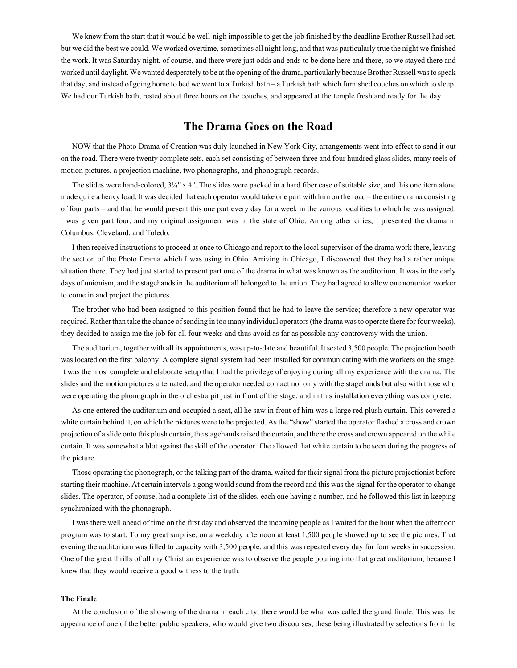We knew from the start that it would be well-nigh impossible to get the job finished by the deadline Brother Russell had set, but we did the best we could. We worked overtime, sometimes all night long, and that was particularly true the night we finished the work. It was Saturday night, of course, and there were just odds and ends to be done here and there, so we stayed there and worked until daylight. We wanted desperately to be at the opening of the drama, particularly because Brother Russell was to speak that day, and instead of going home to bed we went to a Turkish bath – a Turkish bath which furnished couches on which to sleep. We had our Turkish bath, rested about three hours on the couches, and appeared at the temple fresh and ready for the day.

# **The Drama Goes on the Road**

NOW that the Photo Drama of Creation was duly launched in New York City, arrangements went into effect to send it out on the road. There were twenty complete sets, each set consisting of between three and four hundred glass slides, many reels of motion pictures, a projection machine, two phonographs, and phonograph records.

The slides were hand-colored,  $3\frac{1}{4}$ " x 4". The slides were packed in a hard fiber case of suitable size, and this one item alone made quite a heavy load. It was decided that each operator would take one part with him on the road – the entire drama consisting of four parts – and that he would present this one part every day for a week in the various localities to which he was assigned. I was given part four, and my original assignment was in the state of Ohio. Among other cities, I presented the drama in Columbus, Cleveland, and Toledo.

I then received instructions to proceed at once to Chicago and report to the local supervisor of the drama work there, leaving the section of the Photo Drama which I was using in Ohio. Arriving in Chicago, I discovered that they had a rather unique situation there. They had just started to present part one of the drama in what was known as the auditorium. It was in the early days of unionism, and the stagehands in the auditorium all belonged to the union. They had agreed to allow one nonunion worker to come in and project the pictures.

The brother who had been assigned to this position found that he had to leave the service; therefore a new operator was required. Rather than take the chance of sending in too many individual operators (the drama was to operate there for four weeks), they decided to assign me the job for all four weeks and thus avoid as far as possible any controversy with the union.

The auditorium, together with all its appointments, was up-to-date and beautiful. It seated 3,500 people. The projection booth was located on the first balcony. A complete signal system had been installed for communicating with the workers on the stage. It was the most complete and elaborate setup that I had the privilege of enjoying during all my experience with the drama. The slides and the motion pictures alternated, and the operator needed contact not only with the stagehands but also with those who were operating the phonograph in the orchestra pit just in front of the stage, and in this installation everything was complete.

As one entered the auditorium and occupied a seat, all he saw in front of him was a large red plush curtain. This covered a white curtain behind it, on which the pictures were to be projected. As the "show" started the operator flashed a cross and crown projection of a slide onto this plush curtain, the stagehands raised the curtain, and there the cross and crown appeared on the white curtain. It was somewhat a blot against the skill of the operator if he allowed that white curtain to be seen during the progress of the picture.

Those operating the phonograph, or the talking part of the drama, waited for their signal from the picture projectionist before starting their machine. At certain intervals a gong would sound from the record and this was the signal for the operator to change slides. The operator, of course, had a complete list of the slides, each one having a number, and he followed this list in keeping synchronized with the phonograph.

I was there well ahead of time on the first day and observed the incoming people as I waited for the hour when the afternoon program was to start. To my great surprise, on a weekday afternoon at least 1,500 people showed up to see the pictures. That evening the auditorium was filled to capacity with 3,500 people, and this was repeated every day for four weeks in succession. One of the great thrills of all my Christian experience was to observe the people pouring into that great auditorium, because I knew that they would receive a good witness to the truth.

## **The Finale**

At the conclusion of the showing of the drama in each city, there would be what was called the grand finale. This was the appearance of one of the better public speakers, who would give two discourses, these being illustrated by selections from the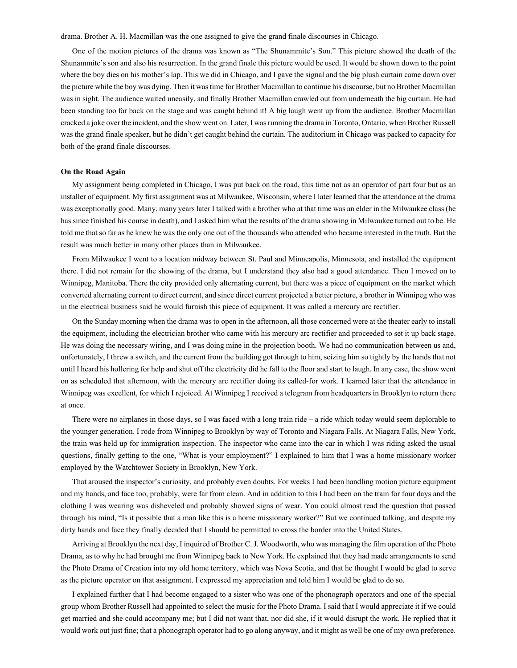drama. Brother A. H. Macmillan was the one assigned to give the grand finale discourses in Chicago.

One of the motion pictures of the drama was known as "The Shunammite's Son." This picture showed the death of the Shunammite's son and also his resurrection. In the grand finale this picture would be used. It would be shown down to the point where the boy dies on his mother's lap. This we did in Chicago, and I gave the signal and the big plush curtain came down over the picture while the boy was dying. Then it was time for Brother Macmillan to continue his discourse, but no Brother Macmillan was in sight. The audience waited uneasily, and finally Brother Macmillan crawled out from underneath the big curtain. He had been standing too far back on the stage and was caught behind it! A big laugh went up from the audience. Brother Macmillan cracked a joke over the incident, and the show went on. Later, I was running the drama in Toronto, Ontario, when Brother Russell was the grand finale speaker, but he didn't get caught behind the curtain. The auditorium in Chicago was packed to capacity for both of the grand finale discourses.

### **On the Road Again**

My assignment being completed in Chicago, I was put back on the road, this time not as an operator of part four but as an installer of equipment. My first assignment was at Milwaukee, Wisconsin, where I later learned that the attendance at the drama was exceptionally good. Many, many years later I talked with a brother who at that time was an elder in the Milwaukee class (he has since finished his course in death), and I asked him what the results of the drama showing in Milwaukee turned out to be. He told me that so far as he knew he was the only one out of the thousands who attended who became interested in the truth. But the result was much better in many other places than in Milwaukee.

From Milwaukee I went to a location midway between St. Paul and Minneapolis, Minnesota, and installed the equipment there. I did not remain for the showing of the drama, but I understand they also had a good attendance. Then I moved on to Winnipeg, Manitoba. There the city provided only alternating current, but there was a piece of equipment on the market which converted alternating current to direct current, and since direct current projected a better picture, a brother in Winnipeg who was in the electrical business said he would furnish this piece of equipment. It was called a mercury arc rectifier.

On the Sunday morning when the drama was to open in the afternoon, all those concerned were at the theater early to install the equipment, including the electrician brother who came with his mercury arc rectifier and proceeded to set it up back stage. He was doing the necessary wiring, and I was doing mine in the projection booth. We had no communication between us and, unfortunately, I threw a switch, and the current from the building got through to him, seizing him so tightly by the hands that not until I heard his hollering for help and shut off the electricity did he fall to the floor and start to laugh. In any case, the show went on as scheduled that afternoon, with the mercury arc rectifier doing its called-for work. I learned later that the attendance in Winnipeg was excellent, for which I rejoiced. At Winnipeg I received a telegram from headquarters in Brooklyn to return there at once.

There were no airplanes in those days, so I was faced with a long train ride – a ride which today would seem deplorable to the younger generation. I rode from Winnipeg to Brooklyn by way of Toronto and Niagara Falls. At Niagara Falls, New York, the train was held up for immigration inspection. The inspector who came into the car in which I was riding asked the usual questions, finally getting to the one, "What is your employment?" I explained to him that I was a home missionary worker employed by the Watchtower Society in Brooklyn, New York.

That aroused the inspector's curiosity, and probably even doubts. For weeks I had been handling motion picture equipment and my hands, and face too, probably, were far from clean. And in addition to this I had been on the train for four days and the clothing I was wearing was disheveled and probably showed signs of wear. You could almost read the question that passed through his mind, "Is it possible that a man like this is a home missionary worker?" But we continued talking, and despite my dirty hands and face they finally decided that I should be permitted to cross the border into the United States.

Arriving at Brooklyn the next day, I inquired of Brother C. J. Woodworth, who was managing the film operation of the Photo Drama, as to why he had brought me from Winnipeg back to New York. He explained that they had made arrangements to send the Photo Drama of Creation into my old home territory, which was Nova Scotia, and that he thought I would be glad to serve as the picture operator on that assignment. I expressed my appreciation and told him I would be glad to do so.

I explained further that I had become engaged to a sister who was one of the phonograph operators and one of the special group whom Brother Russell had appointed to select the music for the Photo Drama. I said that I would appreciate it if we could get married and she could accompany me; but I did not want that, nor did she, if it would disrupt the work. He replied that it would work out just fine; that a phonograph operator had to go along anyway, and it might as well be one of my own preference.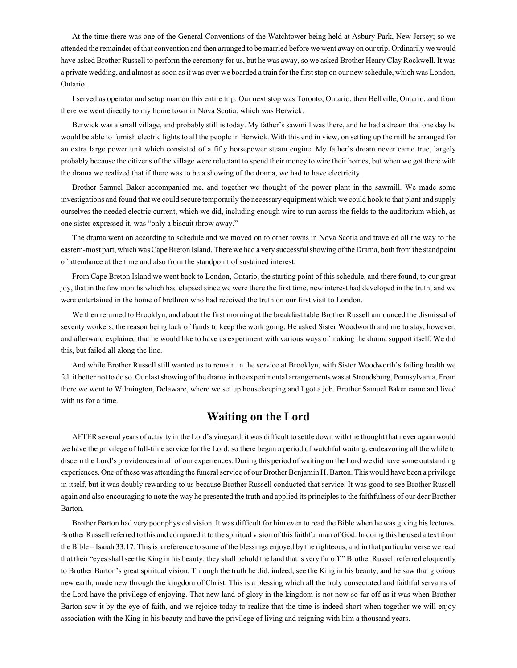At the time there was one of the General Conventions of the Watchtower being held at Asbury Park, New Jersey; so we attended the remainder of that convention and then arranged to be married before we went away on our trip. Ordinarily we would have asked Brother Russell to perform the ceremony for us, but he was away, so we asked Brother Henry Clay Rockwell. It was a private wedding, and almost as soon as it was over we boarded a train for the first stop on our new schedule, which was London, Ontario.

I served as operator and setup man on this entire trip. Our next stop was Toronto, Ontario, then BelIville, Ontario, and from there we went directly to my home town in Nova Scotia, which was Berwick.

Berwick was a small village, and probably still is today. My father's sawmill was there, and he had a dream that one day he would be able to furnish electric lights to all the people in Berwick. With this end in view, on setting up the mill he arranged for an extra large power unit which consisted of a fifty horsepower steam engine. My father's dream never came true, largely probably because the citizens of the village were reluctant to spend their money to wire their homes, but when we got there with the drama we realized that if there was to be a showing of the drama, we had to have electricity.

Brother Samuel Baker accompanied me, and together we thought of the power plant in the sawmill. We made some investigations and found that we could secure temporarily the necessary equipment which we could hook to that plant and supply ourselves the needed electric current, which we did, including enough wire to run across the fields to the auditorium which, as one sister expressed it, was "only a biscuit throw away."

The drama went on according to schedule and we moved on to other towns in Nova Scotia and traveled all the way to the eastern-most part, which was Cape Breton Island. There we had a very successful showing of the Drama, both from the standpoint of attendance at the time and also from the standpoint of sustained interest.

From Cape Breton Island we went back to London, Ontario, the starting point of this schedule, and there found, to our great joy, that in the few months which had elapsed since we were there the first time, new interest had developed in the truth, and we were entertained in the home of brethren who had received the truth on our first visit to London.

We then returned to Brooklyn, and about the first morning at the breakfast table Brother Russell announced the dismissal of seventy workers, the reason being lack of funds to keep the work going. He asked Sister Woodworth and me to stay, however, and afterward explained that he would like to have us experiment with various ways of making the drama support itself. We did this, but failed all along the line.

And while Brother Russell still wanted us to remain in the service at Brooklyn, with Sister Woodworth's failing health we felt it better not to do so. Our last showing of the drama in the experimental arrangements was at Stroudsburg, Pennsylvania. From there we went to Wilmington, Delaware, where we set up housekeeping and I got a job. Brother Samuel Baker came and lived with us for a time.

# **Waiting on the Lord**

AFTER several years of activity in the Lord's vineyard, it was difficult to settle down with the thought that never again would we have the privilege of full-time service for the Lord; so there began a period of watchful waiting, endeavoring all the while to discern the Lord's providences in all of our experiences. During this period of waiting on the Lord we did have some outstanding experiences. One of these was attending the funeral service of our Brother Benjamin H. Barton. This would have been a privilege in itself, but it was doubly rewarding to us because Brother Russell conducted that service. It was good to see Brother Russell again and also encouraging to note the way he presented the truth and applied its principles to the faithfulness of our dear Brother Barton.

Brother Barton had very poor physical vision. It was difficult for him even to read the Bible when he was giving his lectures. Brother Russell referred to this and compared it to the spiritual vision of this faithful man of God. In doing this he used a text from the Bible – Isaiah 33:17. This is a reference to some of the blessings enjoyed by the righteous, and in that particular verse we read that their "eyes shall see the King in his beauty: they shall behold the land that is very far off." Brother Russell referred eloquently to Brother Barton's great spiritual vision. Through the truth he did, indeed, see the King in his beauty, and he saw that glorious new earth, made new through the kingdom of Christ. This is a blessing which all the truly consecrated and faithful servants of the Lord have the privilege of enjoying. That new land of glory in the kingdom is not now so far off as it was when Brother Barton saw it by the eye of faith, and we rejoice today to realize that the time is indeed short when together we will enjoy association with the King in his beauty and have the privilege of living and reigning with him a thousand years.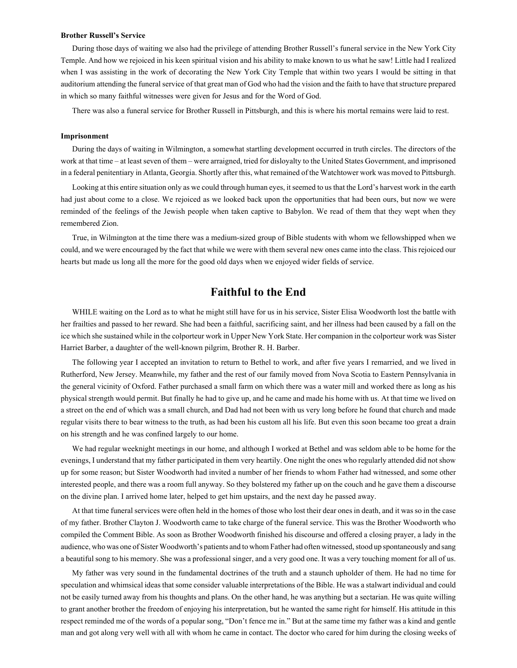#### **Brother Russell's Service**

During those days of waiting we also had the privilege of attending Brother Russell's funeral service in the New York City Temple. And how we rejoiced in his keen spiritual vision and his ability to make known to us what he saw! Little had I realized when I was assisting in the work of decorating the New York City Temple that within two years I would be sitting in that auditorium attending the funeral service of that great man of God who had the vision and the faith to have that structure prepared in which so many faithful witnesses were given for Jesus and for the Word of God.

There was also a funeral service for Brother Russell in Pittsburgh, and this is where his mortal remains were laid to rest.

### **Imprisonment**

During the days of waiting in Wilmington, a somewhat startling development occurred in truth circles. The directors of the work at that time – at least seven of them – were arraigned, tried for disloyalty to the United States Government, and imprisoned in a federal penitentiary in Atlanta, Georgia. Shortly after this, what remained of the Watchtower work was moved to Pittsburgh.

Looking at this entire situation only as we could through human eyes, it seemed to us that the Lord's harvest work in the earth had just about come to a close. We rejoiced as we looked back upon the opportunities that had been ours, but now we were reminded of the feelings of the Jewish people when taken captive to Babylon. We read of them that they wept when they remembered Zion.

True, in Wilmington at the time there was a medium-sized group of Bible students with whom we fellowshipped when we could, and we were encouraged by the fact that while we were with them several new ones came into the class. This rejoiced our hearts but made us long all the more for the good old days when we enjoyed wider fields of service.

# **Faithful to the End**

WHILE waiting on the Lord as to what he might still have for us in his service, Sister Elisa Woodworth lost the battle with her frailties and passed to her reward. She had been a faithful, sacrificing saint, and her illness had been caused by a fall on the ice which she sustained while in the colporteur work in Upper New York State. Her companion in the colporteur work was Sister Harriet Barber, a daughter of the well-known pilgrim, Brother R. H. Barber.

The following year I accepted an invitation to return to Bethel to work, and after five years I remarried, and we lived in Rutherford, New Jersey. Meanwhile, my father and the rest of our family moved from Nova Scotia to Eastern Pennsylvania in the general vicinity of Oxford. Father purchased a small farm on which there was a water mill and worked there as long as his physical strength would permit. But finally he had to give up, and he came and made his home with us. At that time we lived on a street on the end of which was a small church, and Dad had not been with us very long before he found that church and made regular visits there to bear witness to the truth, as had been his custom all his life. But even this soon became too great a drain on his strength and he was confined largely to our home.

We had regular weeknight meetings in our home, and although I worked at Bethel and was seldom able to be home for the evenings, I understand that my father participated in them very heartily. One night the ones who regularly attended did not show up for some reason; but Sister Woodworth had invited a number of her friends to whom Father had witnessed, and some other interested people, and there was a room full anyway. So they bolstered my father up on the couch and he gave them a discourse on the divine plan. I arrived home later, helped to get him upstairs, and the next day he passed away.

At that time funeral services were often held in the homes of those who lost their dear ones in death, and it was so in the case of my father. Brother Clayton J. Woodworth came to take charge of the funeral service. This was the Brother Woodworth who compiled the Comment Bible. As soon as Brother Woodworth finished his discourse and offered a closing prayer, a lady in the audience, who was one of Sister Woodworth's patients and to whom Father had often witnessed, stood up spontaneously and sang a beautiful song to his memory. She was a professional singer, and a very good one. It was a very touching moment for all of us.

My father was very sound in the fundamental doctrines of the truth and a staunch upholder of them. He had no time for speculation and whimsical ideas that some consider valuable interpretations of the Bible. He was a stalwart individual and could not be easily turned away from his thoughts and plans. On the other hand, he was anything but a sectarian. He was quite willing to grant another brother the freedom of enjoying his interpretation, but he wanted the same right for himself. His attitude in this respect reminded me of the words of a popular song, "Don't fence me in." But at the same time my father was a kind and gentle man and got along very well with all with whom he came in contact. The doctor who cared for him during the closing weeks of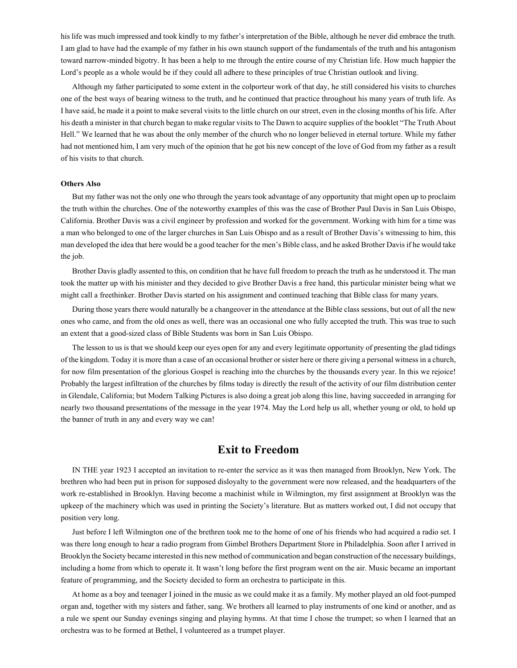his life was much impressed and took kindly to my father's interpretation of the Bible, although he never did embrace the truth. I am glad to have had the example of my father in his own staunch support of the fundamentals of the truth and his antagonism toward narrow-minded bigotry. It has been a help to me through the entire course of my Christian life. How much happier the Lord's people as a whole would be if they could all adhere to these principles of true Christian outlook and living.

Although my father participated to some extent in the colporteur work of that day, he still considered his visits to churches one of the best ways of bearing witness to the truth, and he continued that practice throughout his many years of truth life. As I have said, he made it a point to make several visits to the little church on our street, even in the closing months of his life. After his death a minister in that church began to make regular visits to The Dawn to acquire supplies of the booklet "The Truth About Hell." We learned that he was about the only member of the church who no longer believed in eternal torture. While my father had not mentioned him, I am very much of the opinion that he got his new concept of the love of God from my father as a result of his visits to that church.

#### **Others Also**

But my father was not the only one who through the years took advantage of any opportunity that might open up to proclaim the truth within the churches. One of the noteworthy examples of this was the case of Brother Paul Davis in San Luis Obispo, California. Brother Davis was a civil engineer by profession and worked for the government. Working with him for a time was a man who belonged to one of the larger churches in San Luis Obispo and as a result of Brother Davis's witnessing to him, this man developed the idea that here would be a good teacher for the men's Bible class, and he asked Brother Davis if he would take the job.

Brother Davis gladly assented to this, on condition that he have full freedom to preach the truth as he understood it. The man took the matter up with his minister and they decided to give Brother Davis a free hand, this particular minister being what we might call a freethinker. Brother Davis started on his assignment and continued teaching that Bible class for many years.

During those years there would naturally be a changeover in the attendance at the Bible class sessions, but out of all the new ones who came, and from the old ones as well, there was an occasional one who fully accepted the truth. This was true to such an extent that a good-sized class of Bible Students was born in San Luis Obispo.

The lesson to us is that we should keep our eyes open for any and every legitimate opportunity of presenting the glad tidings of the kingdom. Today it is more than a case of an occasional brother or sister here or there giving a personal witness in a church, for now film presentation of the glorious Gospel is reaching into the churches by the thousands every year. In this we rejoice! Probably the largest infiltration of the churches by films today is directly the result of the activity of our film distribution center in Glendale, California; but Modern Talking Pictures is also doing a great job along this line, having succeeded in arranging for nearly two thousand presentations of the message in the year 1974. May the Lord help us all, whether young or old, to hold up the banner of truth in any and every way we can!

# **Exit to Freedom**

IN THE year 1923 I accepted an invitation to re-enter the service as it was then managed from Brooklyn, New York. The brethren who had been put in prison for supposed disloyalty to the government were now released, and the headquarters of the work re-established in Brooklyn. Having become a machinist while in Wilmington, my first assignment at Brooklyn was the upkeep of the machinery which was used in printing the Society's literature. But as matters worked out, I did not occupy that position very long.

Just before I left Wilmington one of the brethren took me to the home of one of his friends who had acquired a radio set. I was there long enough to hear a radio program from Gimbel Brothers Department Store in Philadelphia. Soon after I arrived in Brooklyn the Society became interested in this new method of communication and began construction of the necessary buildings, including a home from which to operate it. It wasn't long before the first program went on the air. Music became an important feature of programming, and the Society decided to form an orchestra to participate in this.

At home as a boy and teenager I joined in the music as we could make it as a family. My mother played an old foot-pumped organ and, together with my sisters and father, sang. We brothers all learned to play instruments of one kind or another, and as a rule we spent our Sunday evenings singing and playing hymns. At that time I chose the trumpet; so when I learned that an orchestra was to be formed at Bethel, I volunteered as a trumpet player.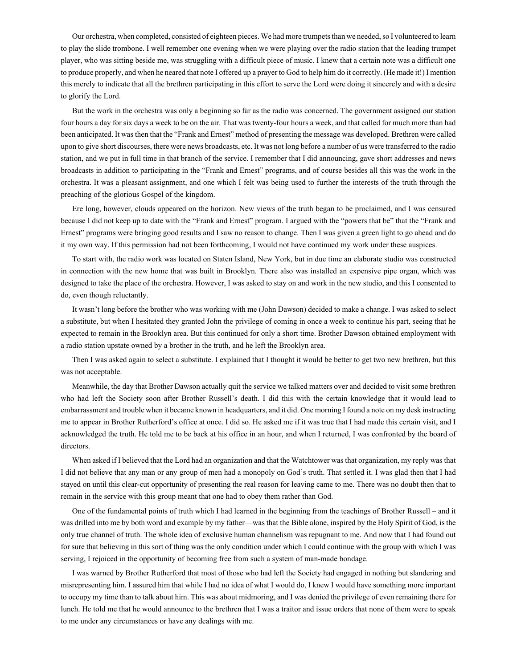Our orchestra, when completed, consisted of eighteen pieces. We had more trumpets than we needed, so I volunteered to learn to play the slide trombone. I well remember one evening when we were playing over the radio station that the leading trumpet player, who was sitting beside me, was struggling with a difficult piece of music. I knew that a certain note was a difficult one to produce properly, and when he neared that note I offered up a prayer to God to help him do it correctly. (He made it!) I mention this merely to indicate that all the brethren participating in this effort to serve the Lord were doing it sincerely and with a desire to glorify the Lord.

But the work in the orchestra was only a beginning so far as the radio was concerned. The government assigned our station four hours a day for six days a week to be on the air. That was twenty-four hours a week, and that called for much more than had been anticipated. It was then that the "Frank and Ernest" method of presenting the message was developed. Brethren were called upon to give short discourses, there were news broadcasts, etc. It was not long before a number of us were transferred to the radio station, and we put in full time in that branch of the service. I remember that I did announcing, gave short addresses and news broadcasts in addition to participating in the "Frank and Ernest" programs, and of course besides all this was the work in the orchestra. It was a pleasant assignment, and one which I felt was being used to further the interests of the truth through the preaching of the glorious Gospel of the kingdom.

Ere long, however, clouds appeared on the horizon. New views of the truth began to be proclaimed, and I was censured because I did not keep up to date with the "Frank and Ernest" program. I argued with the "powers that be" that the "Frank and Ernest" programs were bringing good results and I saw no reason to change. Then I was given a green light to go ahead and do it my own way. If this permission had not been forthcoming, I would not have continued my work under these auspices.

To start with, the radio work was located on Staten Island, New York, but in due time an elaborate studio was constructed in connection with the new home that was built in Brooklyn. There also was installed an expensive pipe organ, which was designed to take the place of the orchestra. However, I was asked to stay on and work in the new studio, and this I consented to do, even though reluctantly.

It wasn't long before the brother who was working with me (John Dawson) decided to make a change. I was asked to select a substitute, but when I hesitated they granted John the privilege of coming in once a week to continue his part, seeing that he expected to remain in the Brooklyn area. But this continued for only a short time. Brother Dawson obtained employment with a radio station upstate owned by a brother in the truth, and he left the Brooklyn area.

Then I was asked again to select a substitute. I explained that I thought it would be better to get two new brethren, but this was not acceptable.

Meanwhile, the day that Brother Dawson actually quit the service we talked matters over and decided to visit some brethren who had left the Society soon after Brother Russell's death. I did this with the certain knowledge that it would lead to embarrassment and trouble when it became known in headquarters, and it did. One morning I found a note on my desk instructing me to appear in Brother Rutherford's office at once. I did so. He asked me if it was true that I had made this certain visit, and I acknowledged the truth. He told me to be back at his office in an hour, and when I returned, I was confronted by the board of directors.

When asked if I believed that the Lord had an organization and that the Watchtower was that organization, my reply was that I did not believe that any man or any group of men had a monopoly on God's truth. That settled it. I was glad then that I had stayed on until this clear-cut opportunity of presenting the real reason for leaving came to me. There was no doubt then that to remain in the service with this group meant that one had to obey them rather than God.

One of the fundamental points of truth which I had learned in the beginning from the teachings of Brother Russell – and it was drilled into me by both word and example by my father—was that the Bible alone, inspired by the Holy Spirit of God, is the only true channel of truth. The whole idea of exclusive human channelism was repugnant to me. And now that I had found out for sure that believing in this sort of thing was the only condition under which I could continue with the group with which I was serving, I rejoiced in the opportunity of becoming free from such a system of man-made bondage.

I was warned by Brother Rutherford that most of those who had left the Society had engaged in nothing but slandering and misrepresenting him. I assured him that while I had no idea of what I would do, I knew I would have something more important to occupy my time than to talk about him. This was about midmoring, and I was denied the privilege of even remaining there for lunch. He told me that he would announce to the brethren that I was a traitor and issue orders that none of them were to speak to me under any circumstances or have any dealings with me.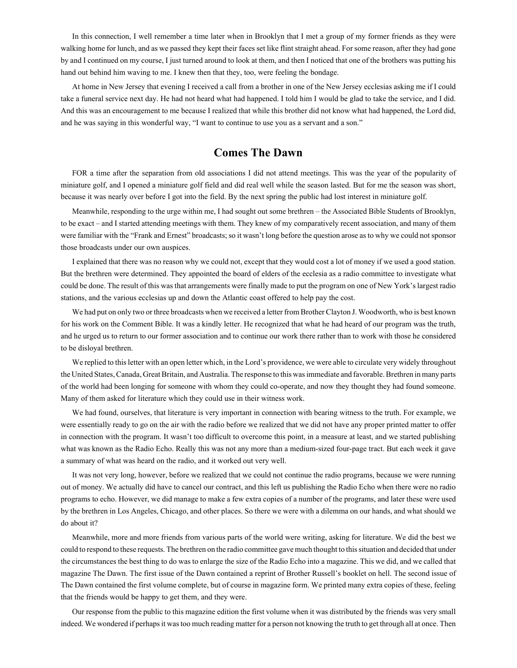In this connection, I well remember a time later when in Brooklyn that I met a group of my former friends as they were walking home for lunch, and as we passed they kept their faces set like flint straight ahead. For some reason, after they had gone by and I continued on my course, I just turned around to look at them, and then I noticed that one of the brothers was putting his hand out behind him waving to me. I knew then that they, too, were feeling the bondage.

At home in New Jersey that evening I received a call from a brother in one of the New Jersey ecclesias asking me if I could take a funeral service next day. He had not heard what had happened. I told him I would be glad to take the service, and I did. And this was an encouragement to me because I realized that while this brother did not know what had happened, the Lord did, and he was saying in this wonderful way, "I want to continue to use you as a servant and a son."

# **Comes The Dawn**

FOR a time after the separation from old associations I did not attend meetings. This was the year of the popularity of miniature golf, and I opened a miniature golf field and did real well while the season lasted. But for me the season was short, because it was nearly over before I got into the field. By the next spring the public had lost interest in miniature golf.

Meanwhile, responding to the urge within me, I had sought out some brethren – the Associated Bible Students of Brooklyn, to be exact – and I started attending meetings with them. They knew of my comparatively recent association, and many of them were familiar with the "Frank and Ernest" broadcasts; so it wasn't long before the question arose as to why we could not sponsor those broadcasts under our own auspices.

I explained that there was no reason why we could not, except that they would cost a lot of money if we used a good station. But the brethren were determined. They appointed the board of elders of the ecclesia as a radio committee to investigate what could be done. The result of this was that arrangements were finally made to put the program on one of New York's largest radio stations, and the various ecclesias up and down the Atlantic coast offered to help pay the cost.

We had put on only two or three broadcasts when we received a letter from Brother Clayton J. Woodworth, who is best known for his work on the Comment Bible. It was a kindly letter. He recognized that what he had heard of our program was the truth, and he urged us to return to our former association and to continue our work there rather than to work with those he considered to be disloyal brethren.

We replied to this letter with an open letter which, in the Lord's providence, we were able to circulate very widely throughout the United States, Canada, Great Britain, and Australia. The response to this was immediate and favorable. Brethren in many parts of the world had been longing for someone with whom they could co-operate, and now they thought they had found someone. Many of them asked for literature which they could use in their witness work.

We had found, ourselves, that literature is very important in connection with bearing witness to the truth. For example, we were essentially ready to go on the air with the radio before we realized that we did not have any proper printed matter to offer in connection with the program. It wasn't too difficult to overcome this point, in a measure at least, and we started publishing what was known as the Radio Echo. Really this was not any more than a medium-sized four-page tract. But each week it gave a summary of what was heard on the radio, and it worked out very well.

It was not very long, however, before we realized that we could not continue the radio programs, because we were running out of money. We actually did have to cancel our contract, and this left us publishing the Radio Echo when there were no radio programs to echo. However, we did manage to make a few extra copies of a number of the programs, and later these were used by the brethren in Los Angeles, Chicago, and other places. So there we were with a dilemma on our hands, and what should we do about it?

Meanwhile, more and more friends from various parts of the world were writing, asking for literature. We did the best we could to respond to these requests. The brethren on the radio committee gave much thought to this situation and decided that under the circumstances the best thing to do was to enlarge the size of the Radio Echo into a magazine. This we did, and we called that magazine The Dawn. The first issue of the Dawn contained a reprint of Brother Russell's booklet on hell. The second issue of The Dawn contained the first volume complete, but of course in magazine form. We printed many extra copies of these, feeling that the friends would be happy to get them, and they were.

Our response from the public to this magazine edition the first volume when it was distributed by the friends was very small indeed. We wondered if perhaps it was too much reading matter for a person not knowing the truth to get through all at once. Then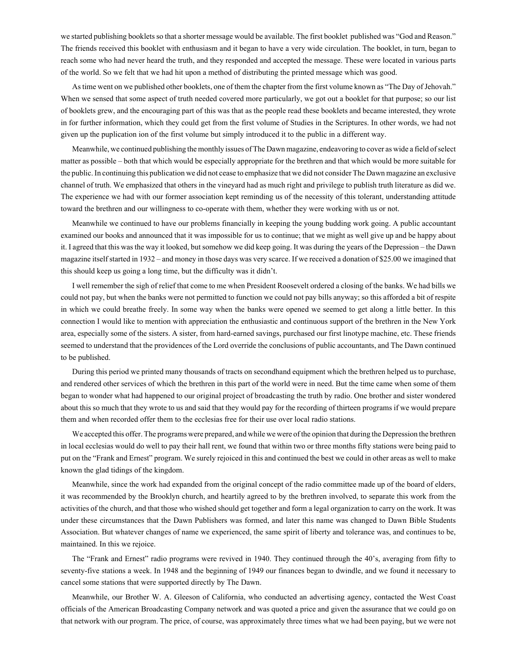we started publishing booklets so that a shorter message would be available. The first booklet published was "God and Reason." The friends received this booklet with enthusiasm and it began to have a very wide circulation. The booklet, in turn, began to reach some who had never heard the truth, and they responded and accepted the message. These were located in various parts of the world. So we felt that we had hit upon a method of distributing the printed message which was good.

As time went on we published other booklets, one of them the chapter from the first volume known as "The Day of Jehovah." When we sensed that some aspect of truth needed covered more particularly, we got out a booklet for that purpose; so our list of booklets grew, and the encouraging part of this was that as the people read these booklets and became interested, they wrote in for further information, which they could get from the first volume of Studies in the Scriptures. In other words, we had not given up the puplication ion of the first volume but simply introduced it to the public in a different way.

Meanwhile, we continued publishing the monthly issues of The Dawn magazine, endeavoring to cover as wide a field of select matter as possible – both that which would be especially appropriate for the brethren and that which would be more suitable for the public. In continuing this publication we did not cease to emphasize that we did not consider The Dawn magazine an exclusive channel of truth. We emphasized that others in the vineyard had as much right and privilege to publish truth literature as did we. The experience we had with our former association kept reminding us of the necessity of this tolerant, understanding attitude toward the brethren and our willingness to co-operate with them, whether they were working with us or not.

Meanwhile we continued to have our problems financially in keeping the young budding work going. A public accountant examined our books and announced that it was impossible for us to continue; that we might as well give up and be happy about it. I agreed that this was the way it looked, but somehow we did keep going. It was during the years of the Depression – the Dawn magazine itself started in 1932 – and money in those days was very scarce. If we received a donation of \$25.00 we imagined that this should keep us going a long time, but the difficulty was it didn't.

I well remember the sigh of relief that come to me when President Roosevelt ordered a closing of the banks. We had bills we could not pay, but when the banks were not permitted to function we could not pay bills anyway; so this afforded a bit of respite in which we could breathe freely. In some way when the banks were opened we seemed to get along a little better. In this connection I would like to mention with appreciation the enthusiastic and continuous support of the brethren in the New York area, especially some of the sisters. A sister, from hard-earned savings, purchased our first linotype machine, etc. These friends seemed to understand that the providences of the Lord override the conclusions of public accountants, and The Dawn continued to be published.

During this period we printed many thousands of tracts on secondhand equipment which the brethren helped us to purchase, and rendered other services of which the brethren in this part of the world were in need. But the time came when some of them began to wonder what had happened to our original project of broadcasting the truth by radio. One brother and sister wondered about this so much that they wrote to us and said that they would pay for the recording of thirteen programs if we would prepare them and when recorded offer them to the ecclesias free for their use over local radio stations.

We accepted this offer. The programs were prepared, and while we were of the opinion that during the Depression the brethren in local ecclesias would do well to pay their hall rent, we found that within two or three months fifty stations were being paid to put on the "Frank and Ernest" program. We surely rejoiced in this and continued the best we could in other areas as well to make known the glad tidings of the kingdom.

Meanwhile, since the work had expanded from the original concept of the radio committee made up of the board of elders, it was recommended by the Brooklyn church, and heartily agreed to by the brethren involved, to separate this work from the activities of the church, and that those who wished should get together and form a legal organization to carry on the work. It was under these circumstances that the Dawn Publishers was formed, and later this name was changed to Dawn Bible Students Association. But whatever changes of name we experienced, the same spirit of liberty and tolerance was, and continues to be, maintained. In this we rejoice.

The "Frank and Ernest" radio programs were revived in 1940. They continued through the 40's, averaging from fifty to seventy-five stations a week. In 1948 and the beginning of 1949 our finances began to dwindle, and we found it necessary to cancel some stations that were supported directly by The Dawn.

Meanwhile, our Brother W. A. Gleeson of California, who conducted an advertising agency, contacted the West Coast officials of the American Broadcasting Company network and was quoted a price and given the assurance that we could go on that network with our program. The price, of course, was approximately three times what we had been paying, but we were not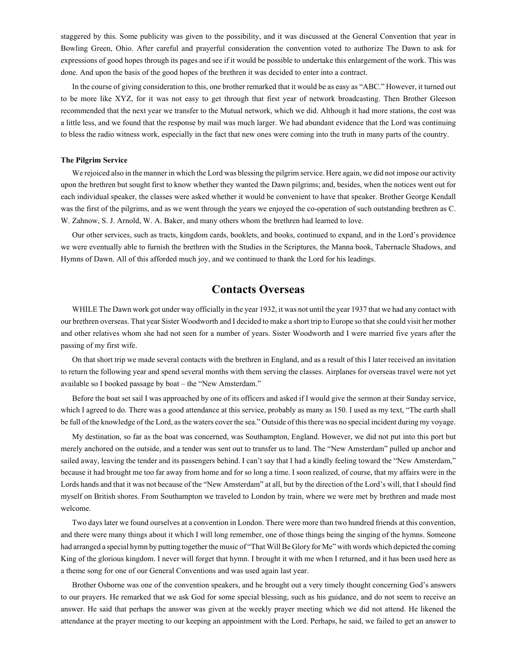staggered by this. Some publicity was given to the possibility, and it was discussed at the General Convention that year in Bowling Green, Ohio. After careful and prayerful consideration the convention voted to authorize The Dawn to ask for expressions of good hopes through its pages and see if it would be possible to undertake this enlargement of the work. This was done. And upon the basis of the good hopes of the brethren it was decided to enter into a contract.

In the course of giving consideration to this, one brother remarked that it would be as easy as "ABC." However, it turned out to be more like XYZ, for it was not easy to get through that first year of network broadcasting. Then Brother Gleeson recommended that the next year we transfer to the Mutual network, which we did. Although it had more stations, the cost was a little less, and we found that the response by mail was much larger. We had abundant evidence that the Lord was continuing to bless the radio witness work, especially in the fact that new ones were coming into the truth in many parts of the country.

#### **The Pilgrim Service**

We rejoiced also in the manner in which the Lord was blessing the pilgrim service. Here again, we did not impose our activity upon the brethren but sought first to know whether they wanted the Dawn pilgrims; and, besides, when the notices went out for each individual speaker, the classes were asked whether it would be convenient to have that speaker. Brother George Kendall was the first of the pilgrims, and as we went through the years we enjoyed the co-operation of such outstanding brethren as C. W. Zahnow, S. J. Arnold, W. A. Baker, and many others whom the brethren had learned to love.

Our other services, such as tracts, kingdom cards, booklets, and books, continued to expand, and in the Lord's providence we were eventually able to furnish the brethren with the Studies in the Scriptures, the Manna book, Tabernacle Shadows, and Hymns of Dawn. All of this afforded much joy, and we continued to thank the Lord for his leadings.

# **Contacts Overseas**

WHILE The Dawn work got under way officially in the year 1932, it was not until the year 1937 that we had any contact with our brethren overseas. That year Sister Woodworth and I decided to make a short trip to Europe so that she could visit her mother and other relatives whom she had not seen for a number of years. Sister Woodworth and I were married five years after the passing of my first wife.

On that short trip we made several contacts with the brethren in England, and as a result of this I later received an invitation to return the following year and spend several months with them serving the classes. Airplanes for overseas travel were not yet available so I booked passage by boat – the "New Amsterdam."

Before the boat set sail I was approached by one of its officers and asked if I would give the sermon at their Sunday service, which I agreed to do. There was a good attendance at this service, probably as many as 150. I used as my text, "The earth shall be full of the knowledge of the Lord, as the waters cover the sea." Outside of this there was no special incident during my voyage.

My destination, so far as the boat was concerned, was Southampton, England. However, we did not put into this port but merely anchored on the outside, and a tender was sent out to transfer us to land. The "New Amsterdam" pulled up anchor and sailed away, leaving the tender and its passengers behind. I can't say that I had a kindly feeling toward the "New Amsterdam," because it had brought me too far away from home and for so long a time. I soon realized, of course, that my affairs were in the Lords hands and that it was not because of the "New Amsterdam" at all, but by the direction of the Lord's will, that I should find myself on British shores. From Southampton we traveled to London by train, where we were met by brethren and made most welcome.

Two days later we found ourselves at a convention in London. There were more than two hundred friends at this convention, and there were many things about it which I will long remember, one of those things being the singing of the hymns. Someone had arranged a special hymn by putting together the music of "That Will Be Glory for Me" with words which depicted the coming King of the glorious kingdom. I never will forget that hymn. I brought it with me when I returned, and it has been used here as a theme song for one of our General Conventions and was used again last year.

Brother Osborne was one of the convention speakers, and he brought out a very timely thought concerning God's answers to our prayers. He remarked that we ask God for some special blessing, such as his guidance, and do not seem to receive an answer. He said that perhaps the answer was given at the weekly prayer meeting which we did not attend. He likened the attendance at the prayer meeting to our keeping an appointment with the Lord. Perhaps, he said, we failed to get an answer to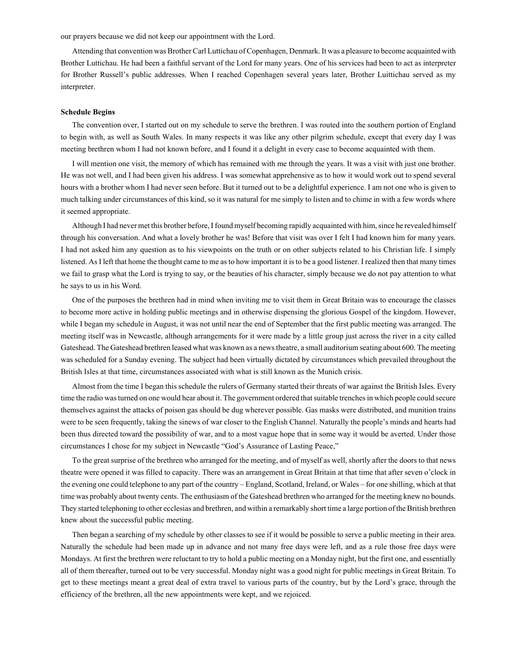our prayers because we did not keep our appointment with the Lord.

Attending that convention was Brother Carl Luttichau of Copenhagen, Denmark. It was a pleasure to become acquainted with Brother Luttichau. He had been a faithful servant of the Lord for many years. One of his services had been to act as interpreter for Brother Russell's public addresses. When I reached Copenhagen several years later, Brother Luittichau served as my interpreter.

#### **Schedule Begins**

The convention over, I started out on my schedule to serve the brethren. I was routed into the southern portion of England to begin with, as well as South Wales. In many respects it was like any other pilgrim schedule, except that every day I was meeting brethren whom I had not known before, and I found it a delight in every case to become acquainted with them.

I will mention one visit, the memory of which has remained with me through the years. It was a visit with just one brother. He was not well, and I had been given his address. I was somewhat apprehensive as to how it would work out to spend several hours with a brother whom I had never seen before. But it turned out to be a delightful experience. I am not one who is given to much talking under circumstances of this kind, so it was natural for me simply to listen and to chime in with a few words where it seemed appropriate.

Although I had never met this brother before, I found myself becoming rapidly acquainted with him, since he revealed himself through his conversation. And what a lovely brother he was! Before that visit was over I felt I had known him for many years. I had not asked him any question as to his viewpoints on the truth or on other subjects related to his Christian life. I simply listened. As I left that home the thought came to me as to how important it is to be a good listener. I realized then that many times we fail to grasp what the Lord is trying to say, or the beauties of his character, simply because we do not pay attention to what he says to us in his Word.

One of the purposes the brethren had in mind when inviting me to visit them in Great Britain was to encourage the classes to become more active in holding public meetings and in otherwise dispensing the glorious Gospel of the kingdom. However, while I began my schedule in August, it was not until near the end of September that the first public meeting was arranged. The meeting itself was in Newcastle, although arrangements for it were made by a little group just across the river in a city called Gateshead. The Gateshead brethren leased what was known as a news theatre, a small auditorium seating about 600. The meeting was scheduled for a Sunday evening. The subject had been virtually dictated by circumstances which prevailed throughout the British Isles at that time, circumstances associated with what is still known as the Munich crisis.

Almost from the time I began this schedule the rulers of Germany started their threats of war against the British Isles. Every time the radio was turned on one would hear about it. The government ordered that suitable trenches in which people could secure themselves against the attacks of poison gas should be dug wherever possible. Gas masks were distributed, and munition trains were to be seen frequently, taking the sinews of war closer to the English Channel. Naturally the people's minds and hearts had been thus directed toward the possibility of war, and to a most vague hope that in some way it would be averted. Under those circumstances I chose for my subject in Newcastle "God's Assurance of Lasting Peace,"

To the great surprise of the brethren who arranged for the meeting, and of myself as well, shortly after the doors to that news theatre were opened it was filled to capacity. There was an arrangement in Great Britain at that time that after seven o'clock in the evening one could telephone to any part of the country – England, Scotland, Ireland, or Wales – for one shilling, which at that time was probably about twenty cents. The enthusiasm of the Gateshead brethren who arranged for the meeting knew no bounds. They started telephoning to other ecclesias and brethren, and within a remarkably short time a large portion of the British brethren knew about the successful public meeting.

Then began a searching of my schedule by other classes to see if it would be possible to serve a public meeting in their area. Naturally the schedule had been made up in advance and not many free days were left, and as a rule those free days were Mondays. At first the brethren were reluctant to try to hold a public meeting on a Monday night, but the first one, and essentially all of them thereafter, turned out to be very successful. Monday night was a good night for public meetings in Great Britain. To get to these meetings meant a great deal of extra travel to various parts of the country, but by the Lord's grace, through the efficiency of the brethren, all the new appointments were kept, and we rejoiced.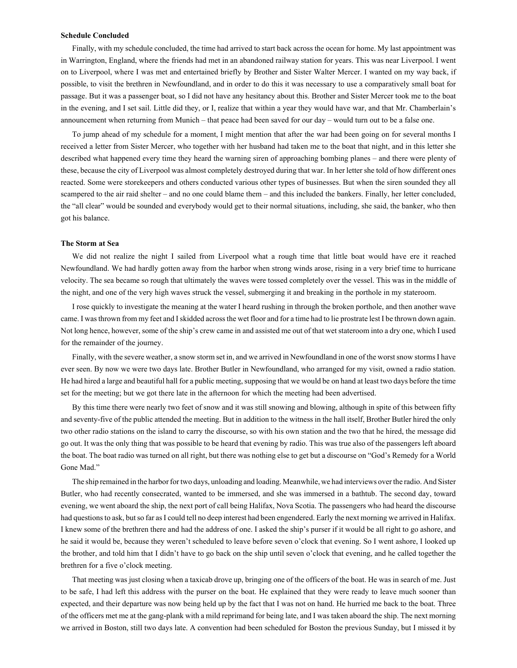#### **Schedule Concluded**

Finally, with my schedule concluded, the time had arrived to start back across the ocean for home. My last appointment was in Warrington, England, where the friends had met in an abandoned railway station for years. This was near Liverpool. I went on to Liverpool, where I was met and entertained briefly by Brother and Sister Walter Mercer. I wanted on my way back, if possible, to visit the brethren in Newfoundland, and in order to do this it was necessary to use a comparatively small boat for passage. But it was a passenger boat, so I did not have any hesitancy about this. Brother and Sister Mercer took me to the boat in the evening, and I set sail. Little did they, or I, realize that within a year they would have war, and that Mr. Chamberlain's announcement when returning from Munich – that peace had been saved for our day – would turn out to be a false one.

To jump ahead of my schedule for a moment, I might mention that after the war had been going on for several months I received a letter from Sister Mercer, who together with her husband had taken me to the boat that night, and in this letter she described what happened every time they heard the warning siren of approaching bombing planes – and there were plenty of these, because the city of Liverpool was almost completely destroyed during that war. In her letter she told of how different ones reacted. Some were storekeepers and others conducted various other types of businesses. But when the siren sounded they all scampered to the air raid shelter – and no one could blame them – and this included the bankers. Finally, her letter concluded, the "all clear" would be sounded and everybody would get to their normal situations, including, she said, the banker, who then got his balance.

### **The Storm at Sea**

We did not realize the night I sailed from Liverpool what a rough time that little boat would have ere it reached Newfoundland. We had hardly gotten away from the harbor when strong winds arose, rising in a very brief time to hurricane velocity. The sea became so rough that ultimately the waves were tossed completely over the vessel. This was in the middle of the night, and one of the very high waves struck the vessel, submerging it and breaking in the porthole in my stateroom.

I rose quickly to investigate the meaning at the water I heard rushing in through the broken porthole, and then another wave came. I was thrown from my feet and I skidded across the wet floor and for a time had to lie prostrate lest I be thrown down again. Not long hence, however, some of the ship's crew came in and assisted me out of that wet stateroom into a dry one, which I used for the remainder of the journey.

Finally, with the severe weather, a snow storm set in, and we arrived in Newfoundland in one of the worst snow storms I have ever seen. By now we were two days late. Brother Butler in Newfoundland, who arranged for my visit, owned a radio station. He had hired a large and beautiful hall for a public meeting, supposing that we would be on hand at least two days before the time set for the meeting; but we got there late in the afternoon for which the meeting had been advertised.

By this time there were nearly two feet of snow and it was still snowing and blowing, although in spite of this between fifty and seventy-five of the public attended the meeting. But in addition to the witness in the hall itself, Brother Butler hired the only two other radio stations on the island to carry the discourse, so with his own station and the two that he hired, the message did go out. It was the only thing that was possible to be heard that evening by radio. This was true also of the passengers left aboard the boat. The boat radio was turned on all right, but there was nothing else to get but a discourse on "God's Remedy for a World Gone Mad."

The ship remained in the harbor for two days, unloading and loading. Meanwhile, we had interviews over the radio. And Sister Butler, who had recently consecrated, wanted to be immersed, and she was immersed in a bathtub. The second day, toward evening, we went aboard the ship, the next port of call being Halifax, Nova Scotia. The passengers who had heard the discourse had questions to ask, but so far as I could tell no deep interest had been engendered. Early the next morning we arrived in Halifax. I knew some of the brethren there and had the address of one. I asked the ship's purser if it would be all right to go ashore, and he said it would be, because they weren't scheduled to leave before seven o'clock that evening. So I went ashore, I looked up the brother, and told him that I didn't have to go back on the ship until seven o'clock that evening, and he called together the brethren for a five o'clock meeting.

That meeting was just closing when a taxicab drove up, bringing one of the officers of the boat. He was in search of me. Just to be safe, I had left this address with the purser on the boat. He explained that they were ready to leave much sooner than expected, and their departure was now being held up by the fact that I was not on hand. He hurried me back to the boat. Three of the officers met me at the gang-plank with a mild reprimand for being late, and I was taken aboard the ship. The next morning we arrived in Boston, still two days late. A convention had been scheduled for Boston the previous Sunday, but I missed it by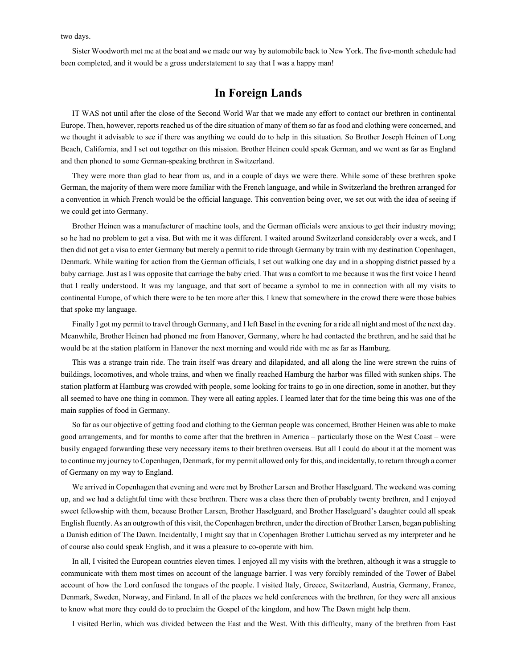two days.

Sister Woodworth met me at the boat and we made our way by automobile back to New York. The five-month schedule had been completed, and it would be a gross understatement to say that I was a happy man!

## **In Foreign Lands**

IT WAS not until after the close of the Second World War that we made any effort to contact our brethren in continental Europe. Then, however, reports reached us of the dire situation of many of them so far as food and clothing were concerned, and we thought it advisable to see if there was anything we could do to help in this situation. So Brother Joseph Heinen of Long Beach, California, and I set out together on this mission. Brother Heinen could speak German, and we went as far as England and then phoned to some German-speaking brethren in Switzerland.

They were more than glad to hear from us, and in a couple of days we were there. While some of these brethren spoke German, the majority of them were more familiar with the French language, and while in Switzerland the brethren arranged for a convention in which French would be the official language. This convention being over, we set out with the idea of seeing if we could get into Germany.

Brother Heinen was a manufacturer of machine tools, and the German officials were anxious to get their industry moving; so he had no problem to get a visa. But with me it was different. I waited around Switzerland considerably over a week, and I then did not get a visa to enter Germany but merely a permit to ride through Germany by train with my destination Copenhagen, Denmark. While waiting for action from the German officials, I set out walking one day and in a shopping district passed by a baby carriage. Just as I was opposite that carriage the baby cried. That was a comfort to me because it was the first voice I heard that I really understood. It was my language, and that sort of became a symbol to me in connection with all my visits to continental Europe, of which there were to be ten more after this. I knew that somewhere in the crowd there were those babies that spoke my language.

Finally I got my permit to travel through Germany, and I left Basel in the evening for a ride all night and most of the next day. Meanwhile, Brother Heinen had phoned me from Hanover, Germany, where he had contacted the brethren, and he said that he would be at the station platform in Hanover the next morning and would ride with me as far as Hamburg.

This was a strange train ride. The train itself was dreary and dilapidated, and all along the line were strewn the ruins of buildings, locomotives, and whole trains, and when we finally reached Hamburg the harbor was filled with sunken ships. The station platform at Hamburg was crowded with people, some looking for trains to go in one direction, some in another, but they all seemed to have one thing in common. They were all eating apples. I learned later that for the time being this was one of the main supplies of food in Germany.

So far as our objective of getting food and clothing to the German people was concerned, Brother Heinen was able to make good arrangements, and for months to come after that the brethren in America – particularly those on the West Coast – were busily engaged forwarding these very necessary items to their brethren overseas. But all I could do about it at the moment was to continue my journey to Copenhagen, Denmark, for my permit allowed only for this, and incidentally, to return through a corner of Germany on my way to England.

We arrived in Copenhagen that evening and were met by Brother Larsen and Brother Haselguard. The weekend was coming up, and we had a delightful time with these brethren. There was a class there then of probably twenty brethren, and I enjoyed sweet fellowship with them, because Brother Larsen, Brother Haselguard, and Brother Haselguard's daughter could all speak English fluently. As an outgrowth of this visit, the Copenhagen brethren, under the direction of Brother Larsen, began publishing a Danish edition of The Dawn. Incidentally, I might say that in Copenhagen Brother Luttichau served as my interpreter and he of course also could speak English, and it was a pleasure to co-operate with him.

In all, I visited the European countries eleven times. I enjoyed all my visits with the brethren, although it was a struggle to communicate with them most times on account of the language barrier. I was very forcibly reminded of the Tower of Babel account of how the Lord confused the tongues of the people. I visited Italy, Greece, Switzerland, Austria, Germany, France, Denmark, Sweden, Norway, and Finland. In all of the places we held conferences with the brethren, for they were all anxious to know what more they could do to proclaim the Gospel of the kingdom, and how The Dawn might help them.

I visited Berlin, which was divided between the East and the West. With this difficulty, many of the brethren from East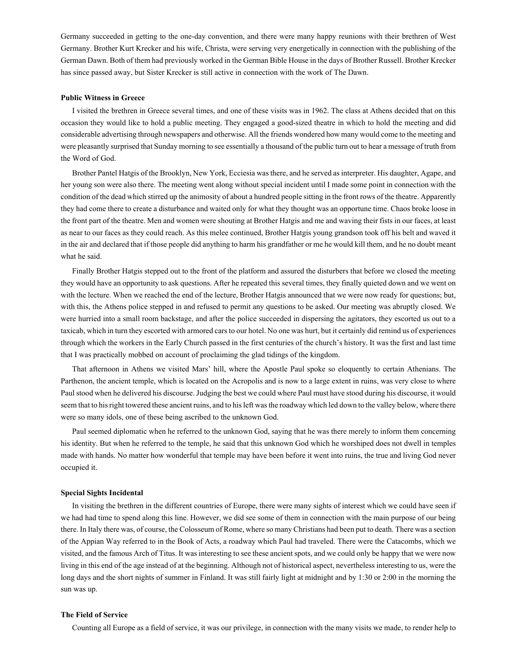Germany succeeded in getting to the one-day convention, and there were many happy reunions with their brethren of West Germany. Brother Kurt Krecker and his wife, Christa, were serving very energetically in connection with the publishing of the German Dawn. Both of them had previously worked in the German Bible House in the days of Brother Russell. Brother Krecker has since passed away, but Sister Krecker is still active in connection with the work of The Dawn.

## **Public Witness in Greece**

I visited the brethren in Greece several times, and one of these visits was in 1962. The class at Athens decided that on this occasion they would like to hold a public meeting. They engaged a good-sized theatre in which to hold the meeting and did considerable advertising through newspapers and otherwise. All the friends wondered how many would come to the meeting and were pleasantly surprised that Sunday morning to see essentially a thousand of the public turn out to hear a message of truth from the Word of God.

Brother Pantel Hatgis of the Brooklyn, New York, Ecciesia was there, and he served as interpreter. His daughter, Agape, and her young son were also there. The meeting went along without special incident until I made some point in connection with the condition of the dead which stirred up the animosity of about a hundred people sitting in the front rows of the theatre. Apparently they had come there to create a disturbance and waited only for what they thought was an opportune time. Chaos broke loose in the front part of the theatre. Men and women were shouting at Brother Hatgis and me and waving their fists in our faces, at least as near to our faces as they could reach. As this melee continued, Brother Hatgis young grandson took off his belt and waved it in the air and declared that if those people did anything to harm his grandfather or me he would kill them, and he no doubt meant what he said.

Finally Brother Hatgis stepped out to the front of the platform and assured the disturbers that before we closed the meeting they would have an opportunity to ask questions. After he repeated this several times, they finally quieted down and we went on with the lecture. When we reached the end of the lecture, Brother Hatgis announced that we were now ready for questions; but, with this, the Athens police stepped in and refused to permit any questions to be asked. Our meeting was abruptly closed. We were hurried into a small room backstage, and after the police succeeded in dispersing the agitators, they escorted us out to a taxicab, which in turn they escorted with armored cars to our hotel. No one was hurt, but it certainly did remind us of experiences through which the workers in the Early Church passed in the first centuries of the church's history. It was the first and last time that I was practically mobbed on account of proclaiming the glad tidings of the kingdom.

That afternoon in Athens we visited Mars' hill, where the Apostle Paul spoke so eloquently to certain Athenians. The Parthenon, the ancient temple, which is located on the Acropolis and is now to a large extent in ruins, was very close to where Paul stood when he delivered his discourse. Judging the best we could where Paul must have stood during his discourse, it would seem that to his right towered these ancient ruins, and to his left was the roadway which led down to the valley below, where there were so many idols, one of these being ascribed to the unknown God.

Paul seemed diplomatic when he referred to the unknown God, saying that he was there merely to inform them concerning his identity. But when he referred to the temple, he said that this unknown God which he worshiped does not dwell in temples made with hands. No matter how wonderful that temple may have been before it went into ruins, the true and living God never occupied it.

## **Special Sights Incidental**

In visiting the brethren in the different countries of Europe, there were many sights of interest which we could have seen if we had had time to spend along this line. However, we did see some of them in connection with the main purpose of our being there. In Italy there was, of course, the Colosseum of Rome, where so many Christians had been put to death. There was a section of the Appian Way referred to in the Book of Acts, a roadway which Paul had traveled. There were the Catacombs, which we visited, and the famous Arch of Titus. It was interesting to see these ancient spots, and we could only be happy that we were now living in this end of the age instead of at the beginning. Although not of historical aspect, nevertheless interesting to us, were the long days and the short nights of summer in Finland. It was still fairly light at midnight and by 1:30 or 2:00 in the morning the sun was up.

## **The Field of Service**

Counting all Europe as a field of service, it was our privilege, in connection with the many visits we made, to render help to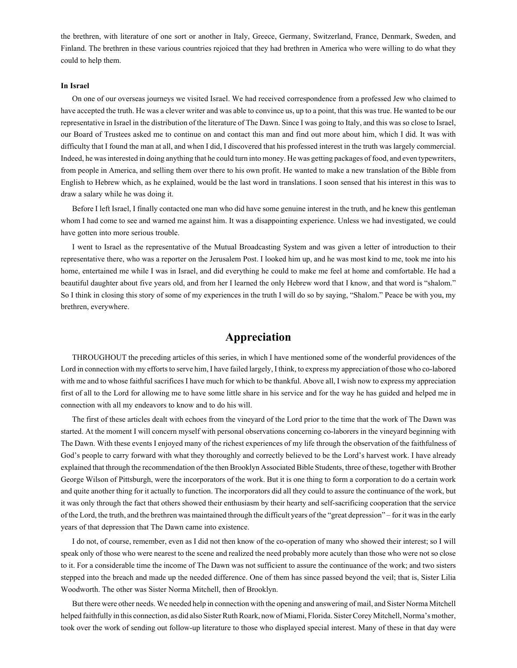the brethren, with literature of one sort or another in Italy, Greece, Germany, Switzerland, France, Denmark, Sweden, and Finland. The brethren in these various countries rejoiced that they had brethren in America who were willing to do what they could to help them.

### **In Israel**

On one of our overseas journeys we visited Israel. We had received correspondence from a professed Jew who claimed to have accepted the truth. He was a clever writer and was able to convince us, up to a point, that this was true. He wanted to be our representative in Israel in the distribution of the literature of The Dawn. Since I was going to Italy, and this was so close to Israel, our Board of Trustees asked me to continue on and contact this man and find out more about him, which I did. It was with difficulty that I found the man at all, and when I did, I discovered that his professed interest in the truth was largely commercial. Indeed, he was interested in doing anything that he could turn into money. He was getting packages of food, and even typewriters, from people in America, and selling them over there to his own profit. He wanted to make a new translation of the Bible from English to Hebrew which, as he explained, would be the last word in translations. I soon sensed that his interest in this was to draw a salary while he was doing it.

Before I left Israel, I finally contacted one man who did have some genuine interest in the truth, and he knew this gentleman whom I had come to see and warned me against him. It was a disappointing experience. Unless we had investigated, we could have gotten into more serious trouble.

I went to Israel as the representative of the Mutual Broadcasting System and was given a letter of introduction to their representative there, who was a reporter on the Jerusalem Post. I looked him up, and he was most kind to me, took me into his home, entertained me while I was in Israel, and did everything he could to make me feel at home and comfortable. He had a beautiful daughter about five years old, and from her I learned the only Hebrew word that I know, and that word is "shalom." So I think in closing this story of some of my experiences in the truth I will do so by saying, "Shalom." Peace be with you, my brethren, everywhere.

# **Appreciation**

THROUGHOUT the preceding articles of this series, in which I have mentioned some of the wonderful providences of the Lord in connection with my efforts to serve him, I have failed largely, I think, to express my appreciation of those who co-labored with me and to whose faithful sacrifices I have much for which to be thankful. Above all, I wish now to express my appreciation first of all to the Lord for allowing me to have some little share in his service and for the way he has guided and helped me in connection with all my endeavors to know and to do his will.

The first of these articles dealt with echoes from the vineyard of the Lord prior to the time that the work of The Dawn was started. At the moment I will concern myself with personal observations concerning co-laborers in the vineyard beginning with The Dawn. With these events I enjoyed many of the richest experiences of my life through the observation of the faithfulness of God's people to carry forward with what they thoroughly and correctly believed to be the Lord's harvest work. I have already explained that through the recommendation of the then Brooklyn Associated Bible Students, three of these, together with Brother George Wilson of Pittsburgh, were the incorporators of the work. But it is one thing to form a corporation to do a certain work and quite another thing for it actually to function. The incorporators did all they could to assure the continuance of the work, but it was only through the fact that others showed their enthusiasm by their hearty and self-sacrificing cooperation that the service of the Lord, the truth, and the brethren was maintained through the difficult years of the "great depression" – for it was in the early years of that depression that The Dawn came into existence.

I do not, of course, remember, even as I did not then know of the co-operation of many who showed their interest; so I will speak only of those who were nearest to the scene and realized the need probably more acutely than those who were not so close to it. For a considerable time the income of The Dawn was not sufficient to assure the continuance of the work; and two sisters stepped into the breach and made up the needed difference. One of them has since passed beyond the veil; that is, Sister Lilia Woodworth. The other was Sister Norma Mitchell, then of Brooklyn.

But there were other needs. We needed help in connection with the opening and answering of mail, and Sister Norma Mitchell helped faithfully in this connection, as did also Sister Ruth Roark, now of Miami, Florida. Sister Corey Mitchell, Norma's mother, took over the work of sending out follow-up literature to those who displayed special interest. Many of these in that day were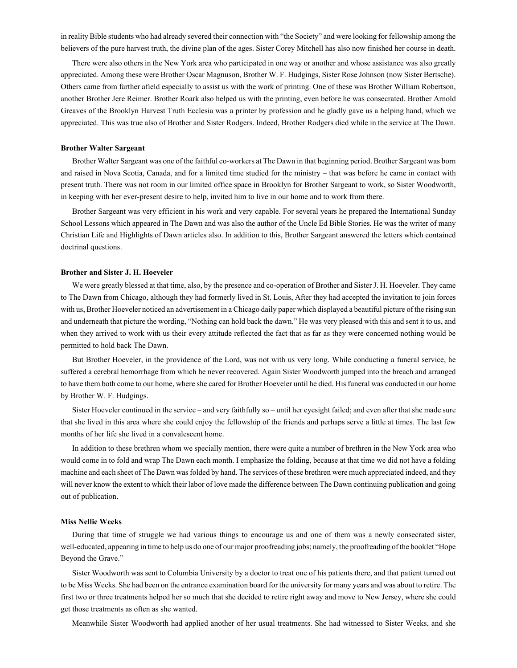in reality Bible students who had already severed their connection with "the Society" and were looking for fellowship among the believers of the pure harvest truth, the divine plan of the ages. Sister Corey Mitchell has also now finished her course in death.

There were also others in the New York area who participated in one way or another and whose assistance was also greatly appreciated. Among these were Brother Oscar Magnuson, Brother W. F. Hudgings, Sister Rose Johnson (now Sister Bertsche). Others came from farther afield especially to assist us with the work of printing. One of these was Brother William Robertson, another Brother Jere Reimer. Brother Roark also helped us with the printing, even before he was consecrated. Brother Arnold Greaves of the Brooklyn Harvest Truth Ecclesia was a printer by profession and he gladly gave us a helping hand, which we appreciated. This was true also of Brother and Sister Rodgers. Indeed, Brother Rodgers died while in the service at The Dawn.

## **Brother Walter Sargeant**

Brother Walter Sargeant was one of the faithful co-workers at The Dawn in that beginning period. Brother Sargeant was born and raised in Nova Scotia, Canada, and for a limited time studied for the ministry – that was before he came in contact with present truth. There was not room in our limited office space in Brooklyn for Brother Sargeant to work, so Sister Woodworth, in keeping with her ever-present desire to help, invited him to live in our home and to work from there.

Brother Sargeant was very efficient in his work and very capable. For several years he prepared the International Sunday School Lessons which appeared in The Dawn and was also the author of the Uncle Ed Bible Stories. He was the writer of many Christian Life and Highlights of Dawn articles also. In addition to this, Brother Sargeant answered the letters which contained doctrinal questions.

### **Brother and Sister J. H. Hoeveler**

We were greatly blessed at that time, also, by the presence and co-operation of Brother and Sister J. H. Hoeveler. They came to The Dawn from Chicago, although they had formerly lived in St. Louis, After they had accepted the invitation to join forces with us, Brother Hoeveler noticed an advertisement in a Chicago daily paper which displayed a beautiful picture of the rising sun and underneath that picture the wording, "Nothing can hold back the dawn." He was very pleased with this and sent it to us, and when they arrived to work with us their every attitude reflected the fact that as far as they were concerned nothing would be permitted to hold back The Dawn.

But Brother Hoeveler, in the providence of the Lord, was not with us very long. While conducting a funeral service, he suffered a cerebral hemorrhage from which he never recovered. Again Sister Woodworth jumped into the breach and arranged to have them both come to our home, where she cared for Brother Hoeveler until he died. His funeral was conducted in our home by Brother W. F. Hudgings.

Sister Hoeveler continued in the service – and very faithfully so – until her eyesight failed; and even after that she made sure that she lived in this area where she could enjoy the fellowship of the friends and perhaps serve a little at times. The last few months of her life she lived in a convalescent home.

In addition to these brethren whom we specially mention, there were quite a number of brethren in the New York area who would come in to fold and wrap The Dawn each month. I emphasize the folding, because at that time we did not have a folding machine and each sheet of The Dawn was folded by hand. The services of these brethren were much appreciated indeed, and they will never know the extent to which their labor of love made the difference between The Dawn continuing publication and going out of publication.

### **Miss Nellie Weeks**

During that time of struggle we had various things to encourage us and one of them was a newly consecrated sister, well-educated, appearing in time to help us do one of our major proofreading jobs; namely, the proofreading of the booklet "Hope Beyond the Grave."

Sister Woodworth was sent to Columbia University by a doctor to treat one of his patients there, and that patient turned out to be Miss Weeks. She had been on the entrance examination board for the university for many years and was about to retire. The first two or three treatments helped her so much that she decided to retire right away and move to New Jersey, where she could get those treatments as often as she wanted.

Meanwhile Sister Woodworth had applied another of her usual treatments. She had witnessed to Sister Weeks, and she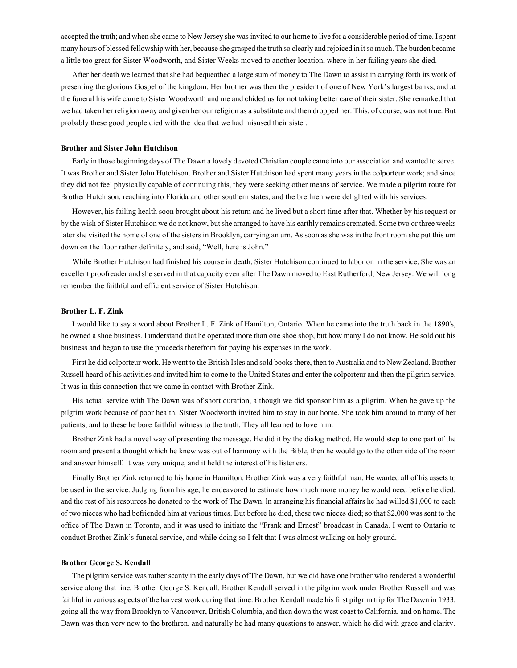accepted the truth; and when she came to New Jersey she was invited to our home to live for a considerable period of time. I spent many hours of blessed fellowship with her, because she grasped the truth so clearly and rejoiced in it so much. The burden became a little too great for Sister Woodworth, and Sister Weeks moved to another location, where in her failing years she died.

After her death we learned that she had bequeathed a large sum of money to The Dawn to assist in carrying forth its work of presenting the glorious Gospel of the kingdom. Her brother was then the president of one of New York's largest banks, and at the funeral his wife came to Sister Woodworth and me and chided us for not taking better care of their sister. She remarked that we had taken her religion away and given her our religion as a substitute and then dropped her. This, of course, was not true. But probably these good people died with the idea that we had misused their sister.

## **Brother and Sister John Hutchison**

Early in those beginning days of The Dawn a lovely devoted Christian couple came into our association and wanted to serve. It was Brother and Sister John Hutchison. Brother and Sister Hutchison had spent many years in the colporteur work; and since they did not feel physically capable of continuing this, they were seeking other means of service. We made a pilgrim route for Brother Hutchison, reaching into Florida and other southern states, and the brethren were delighted with his services.

However, his failing health soon brought about his return and he lived but a short time after that. Whether by his request or by the wish of Sister Hutchison we do not know, but she arranged to have his earthly remains cremated. Some two or three weeks later she visited the home of one of the sisters in Brooklyn, carrying an urn. As soon as she was in the front room she put this urn down on the floor rather definitely, and said, "Well, here is John."

While Brother Hutchison had finished his course in death, Sister Hutchison continued to labor on in the service, She was an excellent proofreader and she served in that capacity even after The Dawn moved to East Rutherford, New Jersey. We will long remember the faithful and efficient service of Sister Hutchison.

#### **Brother L. F. Zink**

I would like to say a word about Brother L. F. Zink of Hamilton, Ontario. When he came into the truth back in the 1890's, he owned a shoe business. I understand that he operated more than one shoe shop, but how many I do not know. He sold out his business and began to use the proceeds therefrom for paying his expenses in the work.

First he did colporteur work. He went to the British Isles and sold books there, then to Australia and to New Zealand. Brother Russell heard of his activities and invited him to come to the United States and enter the colporteur and then the pilgrim service. It was in this connection that we came in contact with Brother Zink.

His actual service with The Dawn was of short duration, although we did sponsor him as a pilgrim. When he gave up the pilgrim work because of poor health, Sister Woodworth invited him to stay in our home. She took him around to many of her patients, and to these he bore faithful witness to the truth. They all learned to love him.

Brother Zink had a novel way of presenting the message. He did it by the dialog method. He would step to one part of the room and present a thought which he knew was out of harmony with the Bible, then he would go to the other side of the room and answer himself. It was very unique, and it held the interest of his listeners.

Finally Brother Zink returned to his home in Hamilton. Brother Zink was a very faithful man. He wanted all of his assets to be used in the service. Judging from his age, he endeavored to estimate how much more money he would need before he died, and the rest of his resources he donated to the work of The Dawn. ln arranging his financial affairs he had willed \$1,000 to each of two nieces who had befriended him at various times. But before he died, these two nieces died; so that \$2,000 was sent to the office of The Dawn in Toronto, and it was used to initiate the "Frank and Ernest" broadcast in Canada. I went to Ontario to conduct Brother Zink's funeral service, and while doing so I felt that I was almost walking on holy ground.

#### **Brother George S. Kendall**

The pilgrim service was rather scanty in the early days of The Dawn, but we did have one brother who rendered a wonderful service along that line, Brother George S. Kendall. Brother Kendall served in the pilgrim work under Brother Russell and was faithful in various aspects of the harvest work during that time. Brother Kendall made his first pilgrim trip for The Dawn in 1933, going all the way from Brooklyn to Vancouver, British Columbia, and then down the west coast to California, and on home. The Dawn was then very new to the brethren, and naturally he had many questions to answer, which he did with grace and clarity.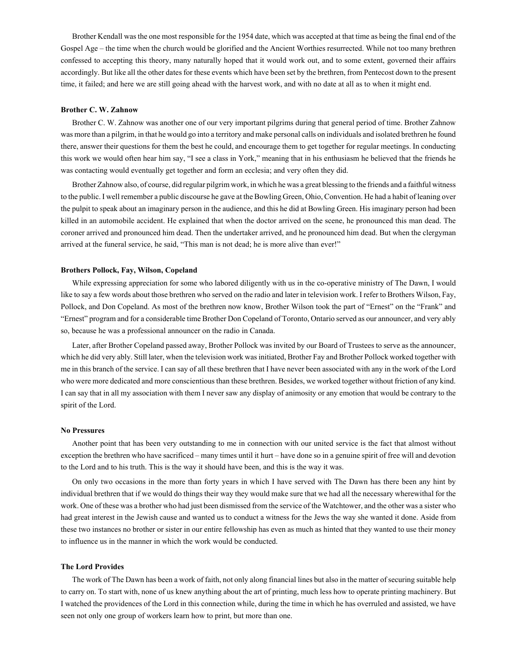Brother Kendall was the one most responsible for the 1954 date, which was accepted at that time as being the final end of the Gospel Age – the time when the church would be glorified and the Ancient Worthies resurrected. While not too many brethren confessed to accepting this theory, many naturally hoped that it would work out, and to some extent, governed their affairs accordingly. But like all the other dates for these events which have been set by the brethren, from Pentecost down to the present time, it failed; and here we are still going ahead with the harvest work, and with no date at all as to when it might end.

### **Brother C. W. Zahnow**

Brother C. W. Zahnow was another one of our very important pilgrims during that general period of time. Brother Zahnow was more than a pilgrim, in that he would go into a territory and make personal calls on individuals and isolated brethren he found there, answer their questions for them the best he could, and encourage them to get together for regular meetings. In conducting this work we would often hear him say, "I see a class in York," meaning that in his enthusiasm he believed that the friends he was contacting would eventually get together and form an ecclesia; and very often they did.

Brother Zahnow also, of course, did regular pilgrim work, in which he was a great blessing to the friends and a faithful witness to the public. I well remember a public discourse he gave at the Bowling Green, Ohio, Convention. He had a habit of leaning over the pulpit to speak about an imaginary person in the audience, and this he did at Bowling Green. His imaginary person had been killed in an automobile accident. He explained that when the doctor arrived on the scene, he pronounced this man dead. The coroner arrived and pronounced him dead. Then the undertaker arrived, and he pronounced him dead. But when the clergyman arrived at the funeral service, he said, "This man is not dead; he is more alive than ever!"

### **Brothers Pollock, Fay, Wilson, Copeland**

While expressing appreciation for some who labored diligently with us in the co-operative ministry of The Dawn, I would like to say a few words about those brethren who served on the radio and later in television work. I refer to Brothers Wilson, Fay, Pollock, and Don Copeland. As most of the brethren now know, Brother Wilson took the part of "Ernest" on the "Frank" and "Ernest" program and for a considerable time Brother Don Copeland of Toronto, Ontario served as our announcer, and very ably so, because he was a professional announcer on the radio in Canada.

Later, after Brother Copeland passed away, Brother Pollock was invited by our Board of Trustees to serve as the announcer, which he did very ably. Still later, when the television work was initiated, Brother Fay and Brother Pollock worked together with me in this branch of the service. I can say of all these brethren that I have never been associated with any in the work of the Lord who were more dedicated and more conscientious than these brethren. Besides, we worked together without friction of any kind. I can say that in all my association with them I never saw any display of animosity or any emotion that would be contrary to the spirit of the Lord.

## **No Pressures**

Another point that has been very outstanding to me in connection with our united service is the fact that almost without exception the brethren who have sacrificed – many times until it hurt – have done so in a genuine spirit of free will and devotion to the Lord and to his truth. This is the way it should have been, and this is the way it was.

On only two occasions in the more than forty years in which I have served with The Dawn has there been any hint by individual brethren that if we would do things their way they would make sure that we had all the necessary wherewithal for the work. One of these was a brother who had just been dismissed from the service of the Watchtower, and the other was a sister who had great interest in the Jewish cause and wanted us to conduct a witness for the Jews the way she wanted it done. Aside from these two instances no brother or sister in our entire fellowship has even as much as hinted that they wanted to use their money to influence us in the manner in which the work would be conducted.

### **The Lord Provides**

The work of The Dawn has been a work of faith, not only along financial lines but also in the matter of securing suitable help to carry on. To start with, none of us knew anything about the art of printing, much less how to operate printing machinery. But I watched the providences of the Lord in this connection while, during the time in which he has overruled and assisted, we have seen not only one group of workers learn how to print, but more than one.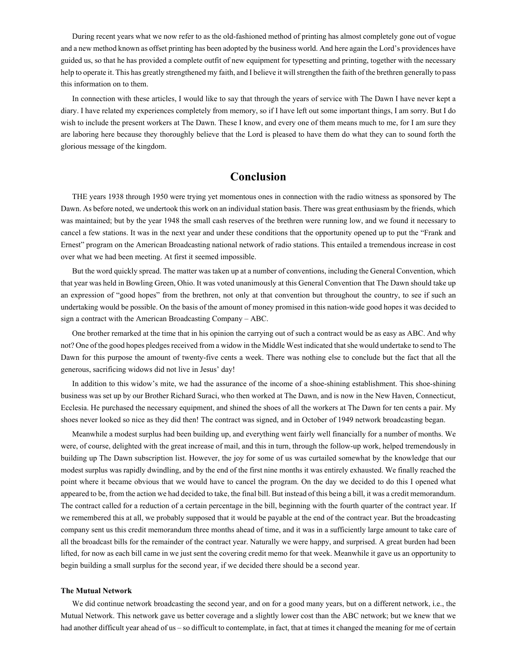During recent years what we now refer to as the old-fashioned method of printing has almost completely gone out of vogue and a new method known as offset printing has been adopted by the business world. And here again the Lord's providences have guided us, so that he has provided a complete outfit of new equipment for typesetting and printing, together with the necessary help to operate it. This has greatly strengthened my faith, and I believe it will strengthen the faith of the brethren generally to pass this information on to them.

In connection with these articles, I would like to say that through the years of service with The Dawn I have never kept a diary. I have related my experiences completely from memory, so if I have left out some important things, I am sorry. But I do wish to include the present workers at The Dawn. These I know, and every one of them means much to me, for I am sure they are laboring here because they thoroughly believe that the Lord is pleased to have them do what they can to sound forth the glorious message of the kingdom.

# **Conclusion**

THE years 1938 through 1950 were trying yet momentous ones in connection with the radio witness as sponsored by The Dawn. As before noted, we undertook this work on an individual station basis. There was great enthusiasm by the friends, which was maintained; but by the year 1948 the small cash reserves of the brethren were running low, and we found it necessary to cancel a few stations. It was in the next year and under these conditions that the opportunity opened up to put the "Frank and Ernest" program on the American Broadcasting national network of radio stations. This entailed a tremendous increase in cost over what we had been meeting. At first it seemed impossible.

But the word quickly spread. The matter was taken up at a number of conventions, including the General Convention, which that year was held in Bowling Green, Ohio. It was voted unanimously at this General Convention that The Dawn should take up an expression of "good hopes" from the brethren, not only at that convention but throughout the country, to see if such an undertaking would be possible. On the basis of the amount of money promised in this nation-wide good hopes it was decided to sign a contract with the American Broadcasting Company – ABC.

One brother remarked at the time that in his opinion the carrying out of such a contract would be as easy as ABC. And why not? One of the good hopes pledges received from a widow in the Middle West indicated that she would undertake to send to The Dawn for this purpose the amount of twenty-five cents a week. There was nothing else to conclude but the fact that all the generous, sacrificing widows did not live in Jesus' day!

In addition to this widow's mite, we had the assurance of the income of a shoe-shining establishment. This shoe-shining business was set up by our Brother Richard Suraci, who then worked at The Dawn, and is now in the New Haven, Connecticut, Ecclesia. He purchased the necessary equipment, and shined the shoes of all the workers at The Dawn for ten cents a pair. My shoes never looked so nice as they did then! The contract was signed, and in October of 1949 network broadcasting began.

Meanwhile a modest surplus had been building up, and everything went fairly well financially for a number of months. We were, of course, delighted with the great increase of mail, and this in turn, through the follow-up work, helped tremendously in building up The Dawn subscription list. However, the joy for some of us was curtailed somewhat by the knowledge that our modest surplus was rapidly dwindling, and by the end of the first nine months it was entirely exhausted. We finally reached the point where it became obvious that we would have to cancel the program. On the day we decided to do this I opened what appeared to be, from the action we had decided to take, the final bill. But instead of this being a bill, it was a credit memorandum. The contract called for a reduction of a certain percentage in the bill, beginning with the fourth quarter of the contract year. If we remembered this at all, we probably supposed that it would be payable at the end of the contract year. But the broadcasting company sent us this credit memorandum three months ahead of time, and it was in a sufficiently large amount to take care of all the broadcast bills for the remainder of the contract year. Naturally we were happy, and surprised. A great burden had been lifted, for now as each bill came in we just sent the covering credit memo for that week. Meanwhile it gave us an opportunity to begin building a small surplus for the second year, if we decided there should be a second year.

### **The Mutual Network**

We did continue network broadcasting the second year, and on for a good many years, but on a different network, i.e., the Mutual Network. This network gave us better coverage and a slightly lower cost than the ABC network; but we knew that we had another difficult year ahead of us – so difficult to contemplate, in fact, that at times it changed the meaning for me of certain